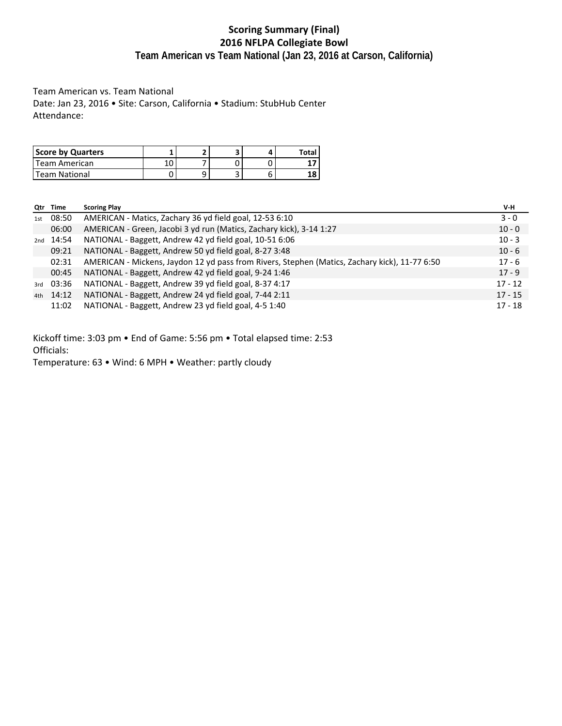# **Scoring Summary (Final) 2016 NFLPA Collegiate Bowl Team American vs Team National (Jan 23, 2016 at Carson, California)**

Team American vs. Team National Date: Jan 23, 2016 • Site: Carson, California • Stadium: StubHub Center Attendance:

| Score by Quarters |  |  | Total |
|-------------------|--|--|-------|
| Team American     |  |  |       |
| Team National     |  |  | LС    |

| Qtr | Time  | <b>Scoring Play</b>                                                                           | V-H       |
|-----|-------|-----------------------------------------------------------------------------------------------|-----------|
| 1st | 08:50 | AMERICAN - Matics, Zachary 36 yd field goal, 12-53 6:10                                       | $3 - 0$   |
|     | 06:00 | AMERICAN - Green, Jacobi 3 yd run (Matics, Zachary kick), 3-14 1:27                           | $10 - 0$  |
| 2nd | 14:54 | NATIONAL - Baggett, Andrew 42 yd field goal, 10-51 6:06                                       | $10 - 3$  |
|     | 09:21 | NATIONAL - Baggett, Andrew 50 yd field goal, 8-27 3:48                                        | $10 - 6$  |
|     | 02:31 | AMERICAN - Mickens, Jaydon 12 yd pass from Rivers, Stephen (Matics, Zachary kick), 11-77 6:50 | $17 - 6$  |
|     | 00:45 | NATIONAL - Baggett, Andrew 42 yd field goal, 9-24 1:46                                        | $17 - 9$  |
| 3rd | 03:36 | NATIONAL - Baggett, Andrew 39 yd field goal, 8-37 4:17                                        | $17 - 12$ |
| 4th | 14:12 | NATIONAL - Baggett, Andrew 24 yd field goal, 7-44 2:11                                        | $17 - 15$ |
|     | 11:02 | NATIONAL - Baggett, Andrew 23 yd field goal, 4-5 1:40                                         | $17 - 18$ |

Kickoff time: 3:03 pm • End of Game: 5:56 pm • Total elapsed time: 2:53 Officials:

Temperature: 63 • Wind: 6 MPH • Weather: partly cloudy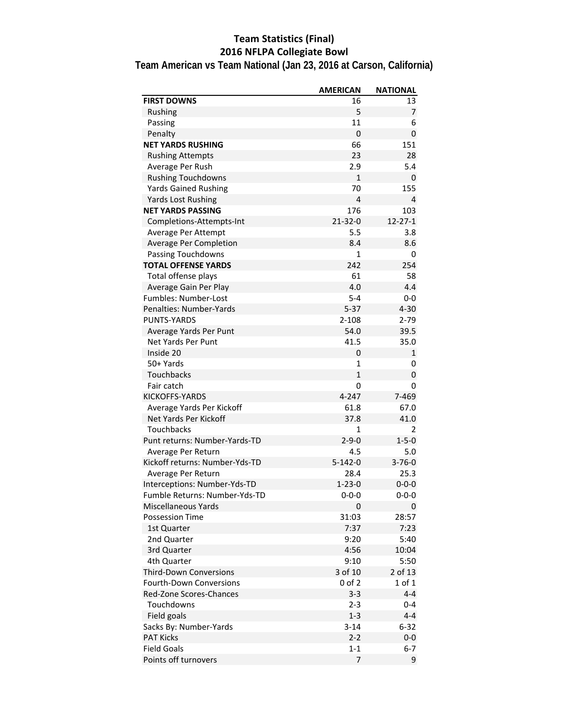# **Team Statistics (Final) 2016 NFLPA Collegiate Bowl**

**Team American vs Team National (Jan 23, 2016 at Carson, California)**

|                                | <b>AMERICAN</b> | <b>NATIONAL</b> |
|--------------------------------|-----------------|-----------------|
| <b>FIRST DOWNS</b>             | 16              | 13              |
| Rushing                        | 5               | 7               |
| Passing                        | 11              | 6               |
| Penalty                        | $\mathbf 0$     | $\mathbf{0}$    |
| <b>NET YARDS RUSHING</b>       | 66              | 151             |
| <b>Rushing Attempts</b>        | 23              | 28              |
| Average Per Rush               | 2.9             | 5.4             |
| <b>Rushing Touchdowns</b>      | $\mathbf{1}$    | 0               |
| <b>Yards Gained Rushing</b>    | 70              | 155             |
| Yards Lost Rushing             | 4               | 4               |
| <b>NET YARDS PASSING</b>       | 176             | 103             |
| Completions-Attempts-Int       | 21-32-0         | $12 - 27 - 1$   |
| Average Per Attempt            | 5.5             | 3.8             |
| Average Per Completion         | 8.4             | 8.6             |
| <b>Passing Touchdowns</b>      | 1               | 0               |
| <b>TOTAL OFFENSE YARDS</b>     | 242             | 254             |
| Total offense plays            | 61              | 58              |
| Average Gain Per Play          | 4.0             | 4.4             |
| <b>Fumbles: Number-Lost</b>    | $5 - 4$         | $0-0$           |
| Penalties: Number-Yards        | $5 - 37$        | $4 - 30$        |
| <b>PUNTS-YARDS</b>             | $2 - 108$       | $2 - 79$        |
| Average Yards Per Punt         | 54.0            | 39.5            |
| <b>Net Yards Per Punt</b>      | 41.5            | 35.0            |
| Inside 20                      | 0               | $\mathbf{1}$    |
| 50+ Yards                      | 1               | 0               |
| Touchbacks                     | $\mathbf{1}$    | 0               |
| Fair catch                     | 0               | 0               |
| KICKOFFS-YARDS                 | 4-247           | 7-469           |
| Average Yards Per Kickoff      | 61.8            | 67.0            |
| Net Yards Per Kickoff          | 37.8            | 41.0            |
| <b>Touchbacks</b>              | 1               | 2               |
| Punt returns: Number-Yards-TD  | $2 - 9 - 0$     | $1 - 5 - 0$     |
| Average Per Return             | 4.5             | 5.0             |
| Kickoff returns: Number-Yds-TD | $5 - 142 - 0$   | $3 - 76 - 0$    |
| Average Per Return             | 28.4            | 25.3            |
| Interceptions: Number-Yds-TD   | $1 - 23 - 0$    | $0 - 0 - 0$     |
| Fumble Returns: Number-Yds-TD  | 0-0-0           | $0 - 0 - 0$     |
| <b>Miscellaneous Yards</b>     | 0               | 0               |
| <b>Possession Time</b>         | 31:03           | 28:57           |
| 1st Quarter                    | 7:37            | 7:23            |
| 2nd Quarter                    | 9:20            | 5:40            |
| 3rd Quarter                    | 4:56            | 10:04           |
| 4th Quarter                    | 9:10            | 5:50            |
| <b>Third-Down Conversions</b>  | 3 of 10         | 2 of 13         |
| <b>Fourth-Down Conversions</b> | $0$ of $2$      | 1 of 1          |
| <b>Red-Zone Scores-Chances</b> | $3 - 3$         | $4 - 4$         |
| Touchdowns                     | $2 - 3$         | 0-4             |
| Field goals                    | $1 - 3$         | $4 - 4$         |
| Sacks By: Number-Yards         | $3 - 14$        | $6 - 32$        |
| <b>PAT Kicks</b>               | $2 - 2$         | $0-0$           |
| <b>Field Goals</b>             | $1 - 1$         | $6 - 7$         |
| Points off turnovers           | 7               | 9               |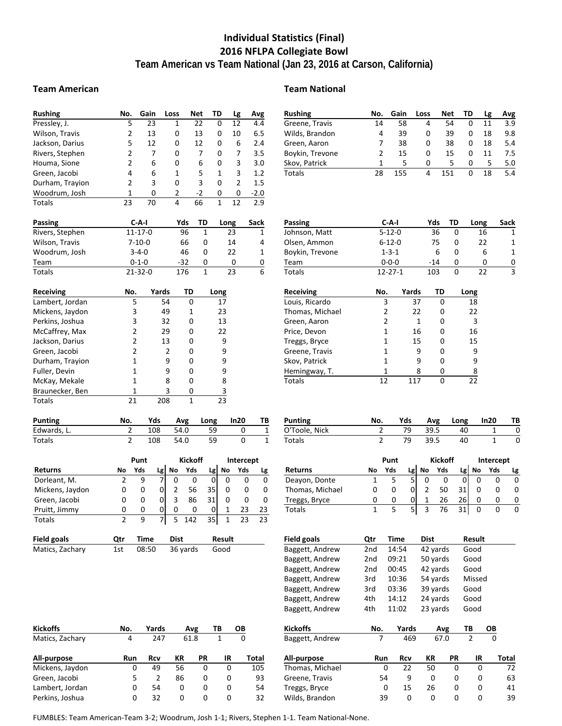# **Individual Statistics (Final) 2016 NFLPA Collegiate Bowl Team American vs Team National (Jan 23, 2016 at Carson, California)**

### **Team American Team National**

| <b>Rushing</b>   | No.                      |                         | Gain  |        | Loss | <b>Net</b>     |                | TD             |                | Lg             | Avg    |
|------------------|--------------------------|-------------------------|-------|--------|------|----------------|----------------|----------------|----------------|----------------|--------|
| Pressley, J.     | 5                        |                         | 23    |        | 1    |                | 22             | 0              |                | 12             | 4.4    |
| Wilson, Travis   | $\overline{2}$           |                         | 13    |        | 0    |                | 13             | 0              |                | 10             | 6.5    |
| Jackson, Darius  | 5                        |                         | 12    |        | 0    |                | 12             | 0              |                | 6              | 2.4    |
| Rivers, Stephen  | $\overline{2}$           |                         | 7     |        | 0    |                | 7              | 0              |                | 7              | 3.5    |
| Houma, Sione     | $\overline{\mathbf{c}}$  |                         | 6     |        | 0    |                | 6              | 0              |                | 3              | 3.0    |
| Green, Jacobi    | 4                        |                         | 6     |        | 1    |                | 5              | 1              |                | 3              | 1.2    |
| Durham, Trayion  | 2                        |                         | 3     |        | 0    |                | 3              | 0              |                | $\overline{2}$ | 1.5    |
| Woodrum, Josh    | $\mathbf{1}$             |                         | 0     |        | 2    |                | $-2$           | 0              |                | 0              | $-2.0$ |
| <b>Totals</b>    | 23                       |                         | 70    |        | 4    |                | 66             | $\overline{1}$ |                | 12             | 2.9    |
| <b>Passing</b>   |                          | C-A-I                   |       |        |      | Yds            | TD             |                | Long           |                | Sack   |
| Rivers, Stephen  |                          | $11 - 17 - 0$           |       |        |      | 96             | 1              |                | 23             |                | 1      |
| Wilson, Travis   |                          | $7 - 10 - 0$            |       |        |      | 66             | 0              |                | 14             |                | 4      |
| Woodrum, Josh    |                          | $3 - 4 - 0$             |       |        |      | 46             | 0              |                | 22             |                | 1      |
| Team             |                          | $0 - 1 - 0$             |       |        |      | $-32$          | 0              |                | 0              |                | 0      |
| <b>Totals</b>    |                          | 21-32-0                 |       |        |      | 176            | $\overline{1}$ |                | 23             |                | 6      |
| <b>Receiving</b> | No.                      |                         | Yards |        |      | TD             |                | Long           |                |                |        |
| Lambert, Jordan  |                          | 5                       |       | 54     |      | 0              |                | 17             |                |                |        |
| Mickens, Jaydon  |                          | 3                       |       | 49     |      | 1              |                | 23             |                |                |        |
| Perkins, Joshua  |                          | 3                       |       | 32     |      | 0              |                | 13             |                |                |        |
| McCaffrey, Max   |                          | $\overline{2}$          |       | 29     |      | 0              |                |                | 22             |                |        |
| Jackson, Darius  |                          | $\overline{2}$          |       | 13     |      | 0              |                | 9              |                |                |        |
| Green, Jacobi    |                          | $\overline{\mathbf{c}}$ |       | 2      | 0    |                |                | 9              |                |                |        |
| Durham, Trayion  |                          | 1                       |       | 9<br>0 |      |                |                | 9              |                |                |        |
| Fuller, Devin    |                          | 1                       |       | 9      |      | 0              |                | 9              |                |                |        |
| McKay, Mekale    |                          | $\overline{1}$          |       | 8<br>0 |      | 8              |                |                |                |                |        |
| Braunecker, Ben  |                          | $\mathbf 1$             |       | 3      |      | 0              |                | 3              |                |                |        |
| Totals           | 21                       |                         |       | 208    |      | 1              |                | 23             |                |                |        |
| <b>Punting</b>   | No.                      |                         | Yds   |        |      | Avg            | Long           |                |                | In20           | ΤВ     |
| Edwards, L.      | $\overline{2}$           |                         | 108   |        |      | 54.0           |                | 59             |                | 0              | 1      |
| Totals           | $\overline{2}$           |                         | 108   |        |      | 54.0           |                | 59             |                | 0              | 1      |
|                  |                          | Punt                    |       |        |      | <b>Kickoff</b> |                |                |                | Intercept      |        |
| <b>Returns</b>   | No                       | Yds                     | Lg    |        | No   | Yds            |                | Lg             | No             | Yds            | Lg     |
| Dorleant, M.     | 2                        | 9                       | 7     |        | 0    | 0              |                | 0              | 0              | 0              | 0      |
| Mickens, Jaydon  | 0                        | 0                       | 0     |        | 2    | 56             | 35             |                | 0              | 0              | 0      |
| Green, Jacobi    | 0                        | 0                       | 0     |        | 3    | 86             | 31             |                | 0              | 0              | 0      |
| Pruitt, Jimmy    | 0                        | 0                       | 0     |        | 0    | 0              |                | 0              | 1              | 23             | 23     |
| Totals           | $\overline{\mathcal{L}}$ | 9                       | 7     |        | 5    | 142            | 35             |                | $\overline{1}$ | 23             | 23     |

| Field goals     | Otr | Time | Dist                | Result |
|-----------------|-----|------|---------------------|--------|
| Matics, Zachary | 1st |      | 08:50 36 yards Good |        |

| <b>Team Nationa</b> |
|---------------------|
|                     |

| Rushing         | No. | Gain | Loss | Net | TD | Lg | Avg |
|-----------------|-----|------|------|-----|----|----|-----|
| Greene, Travis  | 14  | 58   | 4    | 54  |    | 11 | 3.9 |
| Wilds, Brandon  | 4   | 39   | 0    | 39  | 0  | 18 | 9.8 |
| Green, Aaron    |     | 38   | 0    | 38  | 0  | 18 | 5.4 |
| Boykin, Trevone |     | 15   | 0    | 15  | 0  | 11 | 7.5 |
| Skov, Patrick   |     | 5    | 0    | 5   | 0  | 5  | 5.0 |
| Totals          | 28  | 155  | 4    | 151 |    | 18 | 5.4 |
|                 |     |      |      |     |    |    |     |

| <b>Passing</b>  | C-A-I         | Yds   | TD | Long | Sack |
|-----------------|---------------|-------|----|------|------|
| Johnson, Matt   | $5 - 12 - 0$  | 36    |    | 16   | 1    |
| Olsen, Ammon    | $6 - 12 - 0$  | 75    |    | 22   | 1    |
| Boykin, Trevone | $1 - 3 - 1$   | 6     |    |      | 1    |
| Team            | $0 - 0 - 0$   | $-14$ |    |      | 0    |
| Totals          | $12 - 27 - 1$ | 103   |    | フフ   | 3    |

| Receiving       | No. | Yards | TD | Long |
|-----------------|-----|-------|----|------|
| Louis, Ricardo  | 3   | 37    | 0  | 18   |
| Thomas, Michael | 2   | 22    | 0  | 22   |
| Green, Aaron    | 2   | 1     | 0  | 3    |
| Price, Devon    | 1   | 16    | 0  | 16   |
| Treggs, Bryce   | 1   | 15    | 0  | 15   |
| Greene, Travis  | 1   | 9     | 0  | 9    |
| Skov, Patrick   | 1   | 9     | 0  | 9    |
| Hemingway, T.   |     | 8     | 0  | 8    |
| Totals          | 12  |       | በ  | 22   |

| Punting       | No. | Yds |      | Avg Long | In20 | - тв |
|---------------|-----|-----|------|----------|------|------|
| O'Toole, Nick |     | 79  | 39.5 | 40       |      |      |
| Totals        |     | 79  | 39.5 | 40       |      |      |

|                 |    | Punt |    |    | Kickoff |    | Intercept |     |     |
|-----------------|----|------|----|----|---------|----|-----------|-----|-----|
| Returns         | No | Yds  | Lg | No | Yds     | Lø | No        | Yds | Lg. |
| Deayon, Donte   |    |      | с  |    |         |    |           |     |     |
| Thomas, Michael | 0  |      |    |    | 50      |    |           |     |     |
| Treggs, Bryce   |    | Ω    | 0  |    | 26      | 26 |           |     | n   |
| Totals          |    |      | с  |    | 76      |    |           |     |     |

| <b>Field goals</b> | Qtr | Time    |          | Dist     |        | Result |
|--------------------|-----|---------|----------|----------|--------|--------|
| Baggett, Andrew    | 2nd | 14:54   |          | 42 yards |        |        |
| Baggett, Andrew    | 2nd | 09:21   | 50 yards |          | Good   |        |
| Baggett, Andrew    | 2nd | 00:45   | 42 yards |          | Good   |        |
| Baggett, Andrew    | 3rd | 10:36   | 54 yards |          | Missed |        |
| Baggett, Andrew    | 3rd | 03:36   | 39 yards |          | Good   |        |
| Baggett, Andrew    | 4th | 14:12   | 24 yards |          | Good   |        |
| Baggett, Andrew    | 4th | 11:02   | 23 yards |          | Good   |        |
| <b>Kickoffs</b>    | No. | Yards   |          | Avg      | TΒ     | OВ     |
| Baggett, Andrew    | 7   | 469     |          | 67.0     | 2      | 0      |
| All-purpose        | Run | Rcv     | КR       | PR       | IR     | Total  |
| Thomas, Michael    |     | 22<br>0 | 50       | 0        | 0      | 72     |
| Greene, Travis     |     | 9<br>54 | 0        | 0        | 0      | 63     |
| Treggs, Bryce      |     | 15<br>0 | 26       | 0        | 0      | 41     |
| Wilds, Brandon     |     | 39<br>0 | 0        | 0        | 0      | 39     |

| <b>Kickoffs</b> | No. | Yards         |    | Avg  | ΤВ | OΒ |       |
|-----------------|-----|---------------|----|------|----|----|-------|
| Matics, Zachary | 4   | 247           |    | 61.8 |    |    |       |
| All-purpose     | Run | Rcv           | КR | РR   | IR |    | Total |
| Mickens, Jaydon | 0   | 49            | 56 | 0    | 0  |    | 105   |
| Green, Jacobi   | 5   | $\mathcal{P}$ | 86 | 0    | 0  |    | 93    |
| Lambert, Jordan | 0   | 54            | 0  | 0    | 0  |    | 54    |
| Perkins, Joshua | 0   | 32            | 0  | o    | 0  |    | 32    |

FUMBLES: Team American‐Team 3‐2; Woodrum, Josh 1‐1; Rivers, Stephen 1‐1. Team National‐None.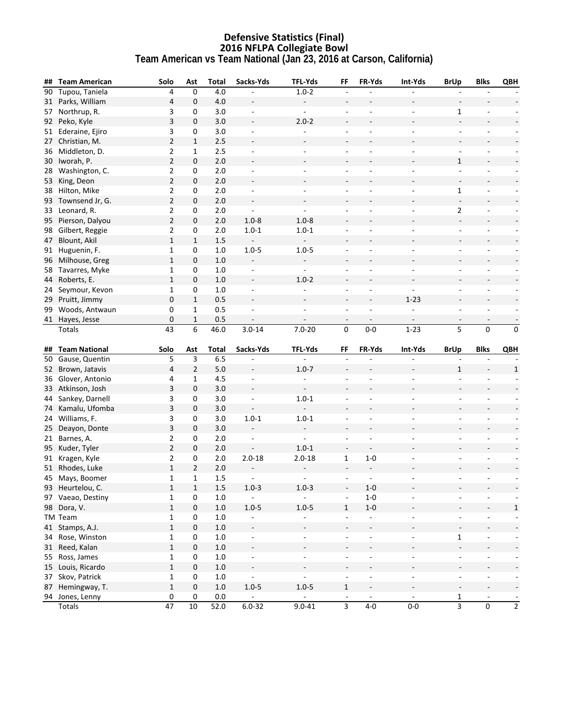### **Defensive Statistics (Final) 2016 NFLPA Collegiate Bowl Team American vs Team National (Jan 23, 2016 at Carson, California)**

| ## | <b>Team American</b>      | Solo           | Ast            | <b>Total</b> | Sacks-Yds                | TFL-Yds                  | FF                                         | FR-Yds                            | Int-Yds                  | <b>BrUp</b>              | <b>Blks</b>                                  | QBH                                        |
|----|---------------------------|----------------|----------------|--------------|--------------------------|--------------------------|--------------------------------------------|-----------------------------------|--------------------------|--------------------------|----------------------------------------------|--------------------------------------------|
| 90 | Tupou, Taniela            | 4              | $\mathbf 0$    | 4.0          |                          | $1.0 - 2$                | $\overline{\phantom{a}}$                   |                                   |                          |                          |                                              |                                            |
|    | 31 Parks, William         | 4              | 0              | 4.0          |                          |                          |                                            |                                   |                          |                          |                                              |                                            |
| 57 | Northrup, R.              | 3              | 0              | 3.0          | $\overline{\phantom{a}}$ | $\blacksquare$           | $\overline{\phantom{a}}$                   |                                   | $\overline{\phantom{m}}$ | $\mathbf{1}$             | $\qquad \qquad \blacksquare$                 |                                            |
| 92 | Peko, Kyle                | 3              | 0              | 3.0          | $\sim$                   | $2.0 - 2$                | $\overline{a}$                             |                                   |                          | $\overline{\phantom{a}}$ |                                              |                                            |
|    | 51 Ederaine, Ejiro        | 3              | 0              | 3.0          | $\overline{\phantom{a}}$ |                          | ÷,                                         |                                   | $\overline{\phantom{a}}$ | $\blacksquare$           | $\qquad \qquad \blacksquare$                 |                                            |
| 27 | Christian, M.             | $\overline{2}$ | $\mathbf{1}$   | 2.5          | $\overline{\phantom{a}}$ |                          | ÷,                                         |                                   |                          |                          |                                              |                                            |
| 36 | Middleton, D.             | 2              | 1              | 2.5          | $\blacksquare$           | $\overline{\phantom{a}}$ | $\sim$                                     | $\overline{a}$                    | $\overline{\phantom{a}}$ | $\blacksquare$           | $\blacksquare$                               | $\overline{\phantom{a}}$                   |
| 30 | Iworah, P.                | $\overline{2}$ | 0              | 2.0          |                          |                          |                                            |                                   |                          | $\mathbf{1}$             |                                              |                                            |
| 28 | Washington, C.            | $\overline{2}$ | 0              | $2.0$        | $\overline{\phantom{a}}$ | $\overline{\phantom{a}}$ | ÷,                                         |                                   |                          | $\Box$                   | $\overline{\phantom{a}}$                     | $\overline{\phantom{a}}$                   |
| 53 | King, Deon                | $\overline{2}$ | $\mathbf 0$    | 2.0          | $\overline{\phantom{a}}$ |                          |                                            |                                   |                          | $\Box$                   |                                              |                                            |
| 38 | Hilton, Mike              | 2              | 0              | 2.0          | $\overline{\phantom{a}}$ | ÷,                       |                                            |                                   |                          | $\mathbf{1}$             |                                              | $\overline{\phantom{a}}$                   |
|    | 93 Townsend Jr, G.        | $\overline{a}$ | 0              | 2.0          | $\blacksquare$           |                          |                                            |                                   |                          | $\overline{\phantom{a}}$ | $\overline{\phantom{a}}$                     | $\overline{\phantom{a}}$                   |
|    | 33 Leonard, R.            | 2              | 0              | 2.0          | $\overline{\phantom{a}}$ | $\blacksquare$           | $\overline{a}$                             |                                   | $\overline{\phantom{a}}$ | $\overline{2}$           | $\overline{\phantom{a}}$                     | $\overline{\phantom{a}}$                   |
|    | 95 Pierson, Dalyou        | $\overline{2}$ | 0              | $2.0$        | $1.0 - 8$                | $1.0 - 8$                | $\overline{a}$                             |                                   |                          | $\overline{\phantom{a}}$ | $\blacksquare$                               |                                            |
|    | 98 Gilbert, Reggie        | $\overline{2}$ | 0              | 2.0          | $1.0 - 1$                | $1.0 - 1$                | $\overline{a}$                             |                                   | $\overline{\phantom{m}}$ | $\overline{\phantom{a}}$ | $\qquad \qquad \blacksquare$                 | $\overline{\phantom{a}}$                   |
| 47 | Blount, Akil              | $\mathbf{1}$   | $\mathbf{1}$   | 1.5          |                          |                          | $\overline{a}$                             |                                   |                          |                          |                                              |                                            |
| 91 | Huguenin, F.              | 1              | 0              | 1.0          | $1.0 - 5$                | $1.0 - 5$                | $\overline{\phantom{a}}$                   |                                   | $\overline{\phantom{a}}$ | ä,                       | $\overline{\phantom{a}}$                     | $\overline{\phantom{a}}$                   |
| 96 | Milhouse, Greg            | $\mathbf{1}$   | 0              | 1.0          |                          |                          |                                            |                                   |                          |                          |                                              |                                            |
| 58 | Tavarres, Myke            | $\mathbf{1}$   | 0              | $1.0$        | $\blacksquare$           | $\Box$                   | ÷,                                         |                                   | $\overline{\phantom{a}}$ | $\blacksquare$           | ÷,                                           | $\overline{\phantom{a}}$                   |
| 44 | Roberts, E.               | $\mathbf{1}$   | 0              | 1.0          | $\overline{\phantom{a}}$ | $1.0 - 2$                |                                            |                                   |                          |                          |                                              |                                            |
| 24 | Seymour, Kevon            | 1              | 0              | 1.0          | $\overline{\phantom{a}}$ | $\frac{1}{2}$            | ÷,                                         | L,                                | ä,                       | L                        |                                              | $\overline{\phantom{a}}$                   |
|    | 29 Pruitt, Jimmy          | 0              | $\mathbf{1}$   | 0.5          | $\overline{\phantom{a}}$ |                          | $\overline{\phantom{a}}$                   |                                   | $1 - 23$                 | $\overline{\phantom{a}}$ | $\blacksquare$                               | $\overline{\phantom{m}}$                   |
| 99 | Woods, Antwaun            | 0              | 1              | 0.5          | $\overline{\phantom{a}}$ | $\overline{\phantom{a}}$ | $\overline{\phantom{a}}$                   | $\overline{\phantom{a}}$          |                          | $\overline{\phantom{a}}$ | $\overline{\phantom{a}}$                     | $\overline{\phantom{a}}$                   |
| 41 | Hayes, Jesse              | 0              | $\mathbf{1}$   | 0.5          |                          | $\blacksquare$           | $\overline{\phantom{a}}$                   | $\overline{\phantom{a}}$          | $\overline{\phantom{a}}$ | $\overline{\phantom{a}}$ | $\overline{\phantom{a}}$                     | $\overline{\phantom{a}}$                   |
|    | Totals                    | 43             | 6              | 46.0         | $3.0 - 14$               | $7.0 - 20$               | $\pmb{0}$                                  | $0-0$                             | $1 - 23$                 | $\overline{5}$           | $\pmb{0}$                                    | 0                                          |
|    |                           |                |                |              |                          |                          |                                            |                                   |                          |                          |                                              |                                            |
| ## | <b>Team National</b>      | Solo           | Ast            | Total        | Sacks-Yds                | TFL-Yds                  | FF                                         | FR-Yds                            | Int-Yds                  | <b>BrUp</b>              | <b>Blks</b>                                  | QBH                                        |
| 50 | Gause, Quentin            | 5              | 3              | 6.5          |                          |                          |                                            |                                   |                          |                          |                                              |                                            |
|    | 52 Brown, Jatavis         | 4              | $\overline{2}$ | $5.0\,$      | $\overline{\phantom{a}}$ | $1.0 - 7$                |                                            |                                   |                          | $\mathbf{1}$             | $\sim$                                       | 1                                          |
|    | 36 Glover, Antonio        | 4              | $\mathbf{1}$   | 4.5          | $\blacksquare$           | ÷,                       |                                            |                                   |                          | $\overline{\phantom{a}}$ |                                              |                                            |
|    | 33 Atkinson, Josh         | 3              | 0              | 3.0          | $\overline{\phantom{a}}$ | $\overline{\phantom{a}}$ |                                            |                                   |                          |                          |                                              |                                            |
| 44 | Sankey, Darnell           | 3              | 0              | 3.0          | $\overline{\phantom{a}}$ | $1.0 - 1$                | $\overline{\phantom{a}}$                   |                                   | $\sim$                   | ä,                       |                                              |                                            |
| 74 | Kamalu, Ufomba            | 3              | 0              | 3.0          |                          |                          |                                            |                                   |                          |                          |                                              |                                            |
|    | 24 Williams, F.           | 3              | 0              | 3.0          | $1.0 - 1$                | $1.0 - 1$                | $\overline{a}$                             |                                   |                          |                          |                                              |                                            |
|    | 25 Deayon, Donte          | 3              | $\mathbf{0}$   | 3.0          |                          |                          | $\overline{\phantom{a}}$                   |                                   |                          |                          |                                              | $\overline{\phantom{a}}$                   |
| 21 | Barnes, A.                | $\overline{2}$ | 0              | 2.0          |                          |                          |                                            |                                   |                          |                          |                                              |                                            |
|    | 95 Kuder, Tyler           | $\overline{2}$ | $\pmb{0}$      | 2.0          |                          | $1.0 - 1$                | $\overline{\phantom{a}}$                   |                                   |                          |                          |                                              | $\overline{\phantom{a}}$                   |
|    | 91 Kragen, Kyle           | $\overline{2}$ | 0              | 2.0          | $2.0 - 18$               | $2.0 - 18$               | $\mathbf{1}$                               | $1-0$                             | $\overline{\phantom{a}}$ | $\overline{\phantom{a}}$ | $\overline{\phantom{a}}$                     |                                            |
|    | 51 Rhodes, Luke           | $\mathbf{1}$   | $\overline{2}$ | 2.0          |                          | $\blacksquare$           | $\overline{\phantom{a}}$                   | $\sim$                            |                          |                          |                                              |                                            |
|    | 45 Mays, Boomer           | $\mathbf{1}$   | $\mathbf{1}$   | 1.5          |                          |                          |                                            |                                   |                          |                          |                                              |                                            |
|    | 93 Heurtelou, C.          | $\mathbf{1}$   | $\mathbf{1}$   | 1.5          | $1.0 - 3$                | $1.0 - 3$                |                                            | $1-0$                             |                          |                          |                                              |                                            |
|    | 97 Vaeao, Destiny         | 1              | 0              | 1.0          | $\sim$                   | $\Box$                   | $\overline{\phantom{a}}$                   | $1-0$                             | $\overline{\phantom{a}}$ | $\overline{\phantom{a}}$ |                                              | $\overline{\phantom{a}}$                   |
|    | 98 Dora, V.               | $\mathbf 1$    | $\pmb{0}$      | $1.0\,$      | $1.0 - 5$                | $1.0 - 5$                | $\mathbf{1}$                               | $1-0$                             |                          |                          |                                              | 1                                          |
|    | TM Team                   | 1              | 0              | $1.0\,$      | $\overline{\phantom{a}}$ | $\overline{\phantom{0}}$ | $\overline{\phantom{a}}$                   | $\Box$                            | $\blacksquare$           | $\Box$                   | $\overline{\phantom{a}}$                     | $\overline{\phantom{a}}$                   |
|    | 41 Stamps, A.J.           | $\mathbf{1}$   | $\mathbf 0$    | $1.0\,$      | $\overline{\phantom{a}}$ | $\frac{1}{2}$            | $\overline{\phantom{a}}$                   | $\overline{\phantom{a}}$          | $\overline{\phantom{a}}$ | $\blacksquare$           | $\overline{\phantom{a}}$                     | $\overline{\phantom{a}}$                   |
|    | 34 Rose, Winston          | $\mathbf 1$    | 0              | $1.0$        | $\blacksquare$           | $\frac{1}{2}$            | $\overline{a}$                             | ÷,                                | $\blacksquare$           | $\mathbf{1}$             | $\blacksquare$                               |                                            |
|    | 31 Reed, Kalan            | $\mathbf 1$    | $\pmb{0}$      | $1.0\,$      | $\Box$                   |                          | $\blacksquare$                             |                                   |                          | $\overline{\phantom{a}}$ | $\overline{\phantom{a}}$                     | -                                          |
|    | 55 Ross, James            | $\mathbf{1}$   | 0              | $1.0\,$      | $\equiv$                 | $\overline{\phantom{0}}$ | $\overline{\phantom{a}}$                   | $\overline{a}$                    | $\overline{\phantom{a}}$ | $\overline{\phantom{a}}$ | $\overline{\phantom{a}}$                     |                                            |
|    | 15 Louis, Ricardo         | $\mathbf{1}$   | 0              | $1.0\,$      | $\overline{\phantom{a}}$ |                          | $\overline{\phantom{a}}$                   |                                   | -                        | $\overline{\phantom{a}}$ | $\overline{\phantom{a}}$                     | $\overline{\phantom{a}}$                   |
|    | 37 Skov, Patrick          | $\mathbf 1$    | 0              | $1.0\,$      | $\blacksquare$           | $\overline{\phantom{a}}$ | $\overline{\phantom{a}}$                   | $\overline{\phantom{a}}$          | $\overline{\phantom{a}}$ | $\blacksquare$           | $\overline{\phantom{a}}$                     | -                                          |
|    |                           |                |                |              |                          |                          |                                            |                                   |                          |                          |                                              |                                            |
|    | 87 Hemingway, T.          | $\mathbf 1$    | $\pmb{0}$      | $1.0\,$      | $1.0 - 5$                | $1.0 - 5$                | $\mathbf 1$                                | $\overline{\phantom{m}}$          | ÷                        | $\overline{\phantom{a}}$ | $\overline{\phantom{a}}$                     | $\overline{\phantom{a}}$                   |
|    | 94 Jones, Lenny<br>Totals | 0<br>47        | 0<br>$10\,$    | 0.0<br>52.0  | $6.0 - 32$               | $9.0 - 41$               | $\overline{\phantom{a}}$<br>$\overline{3}$ | $\overline{\phantom{a}}$<br>$4-0$ | $\sim$<br>$0-0$          | 1<br>$\overline{3}$      | $\overline{\phantom{a}}$<br>$\boldsymbol{0}$ | $\overline{\phantom{a}}$<br>$\overline{2}$ |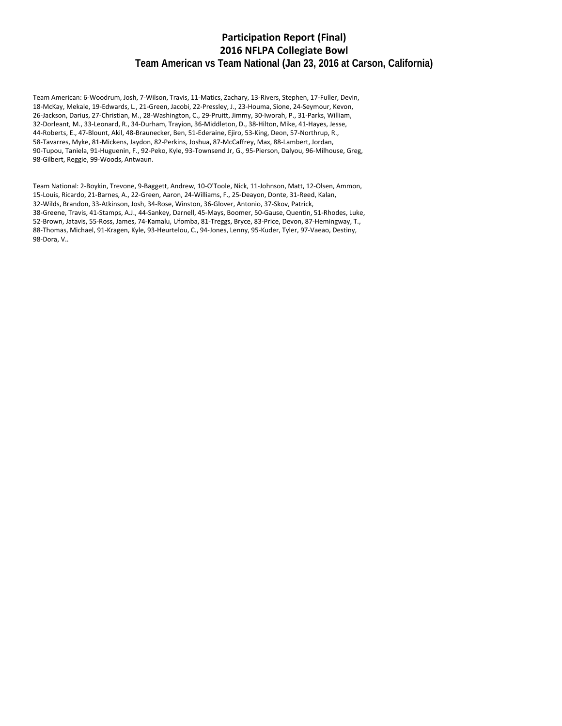### **Participation Report (Final) NFLPA Collegiate Bowl Team American vs Team National (Jan 23, 2016 at Carson, California)**

Team American: 6‐Woodrum, Josh, 7‐Wilson, Travis, 11‐Matics, Zachary, 13‐Rivers, Stephen, 17‐Fuller, Devin, ‐McKay, Mekale, 19‐Edwards, L., 21‐Green, Jacobi, 22‐Pressley, J., 23‐Houma, Sione, 24‐Seymour, Kevon, ‐Jackson, Darius, 27‐Christian, M., 28‐Washington, C., 29‐Pruitt, Jimmy, 30‐Iworah, P., 31‐Parks, William, ‐Dorleant, M., 33‐Leonard, R., 34‐Durham, Trayion, 36‐Middleton, D., 38‐Hilton, Mike, 41‐Hayes, Jesse, ‐Roberts, E., 47‐Blount, Akil, 48‐Braunecker, Ben, 51‐Ederaine, Ejiro, 53‐King, Deon, 57‐Northrup, R., ‐Tavarres, Myke, 81‐Mickens, Jaydon, 82‐Perkins, Joshua, 87‐McCaffrey, Max, 88‐Lambert, Jordan, ‐Tupou, Taniela, 91‐Huguenin, F., 92‐Peko, Kyle, 93‐Townsend Jr, G., 95‐Pierson, Dalyou, 96‐Milhouse, Greg, ‐Gilbert, Reggie, 99‐Woods, Antwaun.

Team National: 2‐Boykin, Trevone, 9‐Baggett, Andrew, 10‐O'Toole, Nick, 11‐Johnson, Matt, 12‐Olsen, Ammon, ‐Louis, Ricardo, 21‐Barnes, A., 22‐Green, Aaron, 24‐Williams, F., 25‐Deayon, Donte, 31‐Reed, Kalan, ‐Wilds, Brandon, 33‐Atkinson, Josh, 34‐Rose, Winston, 36‐Glover, Antonio, 37‐Skov, Patrick, ‐Greene, Travis, 41‐Stamps, A.J., 44‐Sankey, Darnell, 45‐Mays, Boomer, 50‐Gause, Quentin, 51‐Rhodes, Luke, ‐Brown, Jatavis, 55‐Ross, James, 74‐Kamalu, Ufomba, 81‐Treggs, Bryce, 83‐Price, Devon, 87‐Hemingway, T., ‐Thomas, Michael, 91‐Kragen, Kyle, 93‐Heurtelou, C., 94‐Jones, Lenny, 95‐Kuder, Tyler, 97‐Vaeao, Destiny, ‐Dora, V..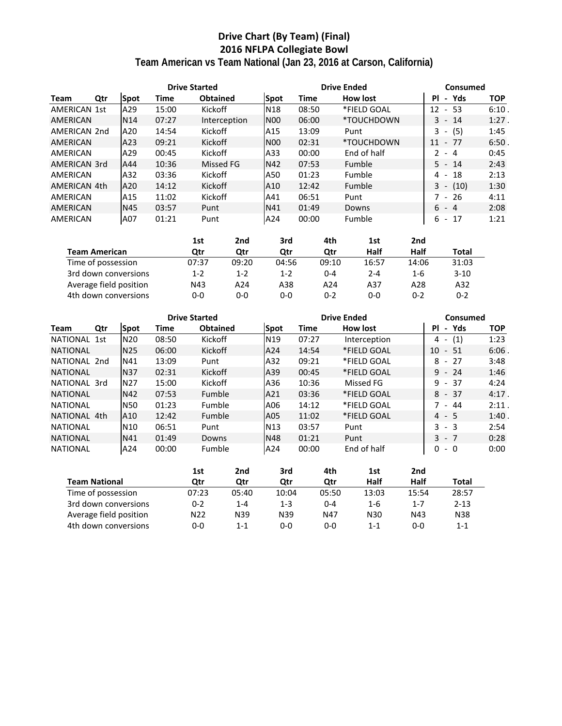# **Drive Chart (By Team) (Final) 2016 NFLPA Collegiate Bowl Team American vs Team National (Jan 23, 2016 at Carson, California)**

|                     |     |                 | <b>Drive Started</b> |                 |                  |       | <b>Drive Ended</b> | Consumed                             |            |  |  |  |
|---------------------|-----|-----------------|----------------------|-----------------|------------------|-------|--------------------|--------------------------------------|------------|--|--|--|
| Team                | Qtr | <b>Spot</b>     | Time                 | <b>Obtained</b> | <b>Spot</b>      | Time  | How lost           | PI<br>Yds<br>$\blacksquare$          | <b>TOP</b> |  |  |  |
| <b>AMERICAN 1st</b> |     | A29             | 15:00                | Kickoff         | N <sub>18</sub>  | 08:50 | *FIELD GOAL        | $-53$<br>12                          | 6:10       |  |  |  |
| <b>AMERICAN</b>     |     | N <sub>14</sub> | 07:27                | Interception    | IN <sub>00</sub> | 06:00 | *TOUCHDOWN         | $3 - 14$                             | $1:27$ .   |  |  |  |
| AMERICAN 2nd        |     | A20             | 14:54                | Kickoff         | A15              | 13:09 | Punt               | (5)<br>3<br>$\overline{\phantom{a}}$ | 1:45       |  |  |  |
| AMERICAN            |     | A23             | 09:21                | Kickoff         | N <sub>00</sub>  | 02:31 | *TOUCHDOWN         | - 77<br>11                           | 6:50       |  |  |  |
| AMERICAN            |     | A29             | 00:45                | Kickoff         | A33              | 00:00 | End of half        | $2 - 4$                              | 0:45       |  |  |  |
| AMERICAN 3rd        |     | A44             | 10:36                | Missed FG       | <b>N42</b>       | 07:53 | Fumble             | $5 - 14$                             | 2:43       |  |  |  |
| AMERICAN            |     | A32             | 03:36                | Kickoff         | A50              | 01:23 | Fumble             | 18<br>4 -                            | 2:13       |  |  |  |
| AMERICAN 4th        |     | A20             | 14:12                | Kickoff         | A10              | 12:42 | Fumble             | $3 -$<br>(10)                        | 1:30       |  |  |  |
| AMERICAN            |     | A15             | 11:02                | Kickoff         | A41              | 06:51 | Punt               | $7 - 26$                             | 4:11       |  |  |  |
| <b>AMERICAN</b>     |     | N45             | 03:57                | Punt            | N41              | 01:49 | Downs              | $6 - 4$                              | 2:08       |  |  |  |
| AMERICAN            |     | A07             | 01:21                | Punt            | A24              | 00:00 | Fumble             | $6 - 17$                             | 1:21       |  |  |  |

|                        | 1st   | 2nd   | 3rd     | 4th     | 1st     | 2nd   |              |
|------------------------|-------|-------|---------|---------|---------|-------|--------------|
| <b>Team American</b>   | Qtr   | Otr   | Otr     | Otr     | Half    | Half  | <b>Total</b> |
| Time of possession     | 07:37 | 09:20 | 04:56   | 09:10   | 16:57   | 14:06 | 31:03        |
| 3rd down conversions   | 1-2   | $1-2$ | $1 - 2$ | $0 - 4$ | $2 - 4$ | 1-6   | $3-10$       |
| Average field position | N43   | A24   | A38     | A24     | A37     | A28   | A32          |
| 4th down conversions   | 0-0   | 0-0   | 0-0     | ი-2     | 0-0     | ი-2   | $0 - 2$      |

|                 |     |                 | <b>Drive Started</b> |                 |                 |       | <b>Drive Ended</b> | Consumed            |            |  |  |  |  |
|-----------------|-----|-----------------|----------------------|-----------------|-----------------|-------|--------------------|---------------------|------------|--|--|--|--|
| Team            | Qtr | Spot            | Time                 | <b>Obtained</b> | Spot            | Time  | How lost           | Yds<br>ΡI<br>$\sim$ | <b>TOP</b> |  |  |  |  |
| NATIONAL 1st    |     | N <sub>20</sub> | 08:50                | Kickoff         | N <sub>19</sub> | 07:27 | Interception       | (1)<br>4 -          | 1:23       |  |  |  |  |
| <b>NATIONAL</b> |     | <b>N25</b>      | 06:00                | Kickoff         | A24             | 14:54 | *FIELD GOAL        | 10<br>- 51          | 6:06       |  |  |  |  |
| NATIONAL 2nd    |     | N41             | 13:09                | Punt            | A32             | 09:21 | *FIELD GOAL        | $8 - 27$            | 3:48       |  |  |  |  |
| <b>NATIONAL</b> |     | <b>N37</b>      | 02:31                | Kickoff         | A39             | 00:45 | *FIELD GOAL        | $9 - 24$            | 1:46       |  |  |  |  |
| NATIONAL 3rd    |     | N <sub>27</sub> | 15:00                | Kickoff         | A36             | 10:36 | Missed FG          | $9 - 37$            | 4:24       |  |  |  |  |
| <b>NATIONAL</b> |     | N42             | 07:53                | Fumble          | A21             | 03:36 | *FIELD GOAL        | $8 - 37$            | 4:17.      |  |  |  |  |
| <b>NATIONAL</b> |     | <b>N50</b>      | 01:23                | Fumble          | A06             | 14:12 | *FIELD GOAL        | $7 - 44$            | 2:11       |  |  |  |  |
| NATIONAL 4th    |     | A10             | 12:42                | Fumble          | A05             | 11:02 | *FIELD GOAL        | $4 - 5$             | 1:40.      |  |  |  |  |
| <b>NATIONAL</b> |     | N10             | 06:51                | Punt            | N <sub>13</sub> | 03:57 | Punt               | $3 - 3$             | 2:54       |  |  |  |  |
| <b>NATIONAL</b> |     | <b>N41</b>      | 01:49                | Downs           | N48             | 01:21 | Punt               | $3 - 7$             | 0:28       |  |  |  |  |
| <b>NATIONAL</b> |     | A24             | 00:00                | Fumble          | A24             | 00:00 | End of half        | $-0$<br>0           | 0:00       |  |  |  |  |

|                        | 1st             | 2nd     | 3rd   | 4th     | 1st     | 2nd     |          |
|------------------------|-----------------|---------|-------|---------|---------|---------|----------|
| <b>Team National</b>   | Otr             | Otr     | Otr   | Otr     | Half    | Half    | Total    |
| Time of possession     | 07:23           | 05:40   | 10:04 | 05:50   | 13:03   | 15:54   | 28:57    |
| 3rd down conversions   | 0-2             | $1 - 4$ | 1-3   | $0 - 4$ | $1 - 6$ | $1 - 7$ | $2 - 13$ |
| Average field position | N <sub>22</sub> | N39     | N39   | N47     | N30     | N43     | N38      |
| 4th down conversions   | 0-0             | $1 - 1$ | 0-0   | $0 - 0$ | 1-1     | $0 - 0$ | 1-1      |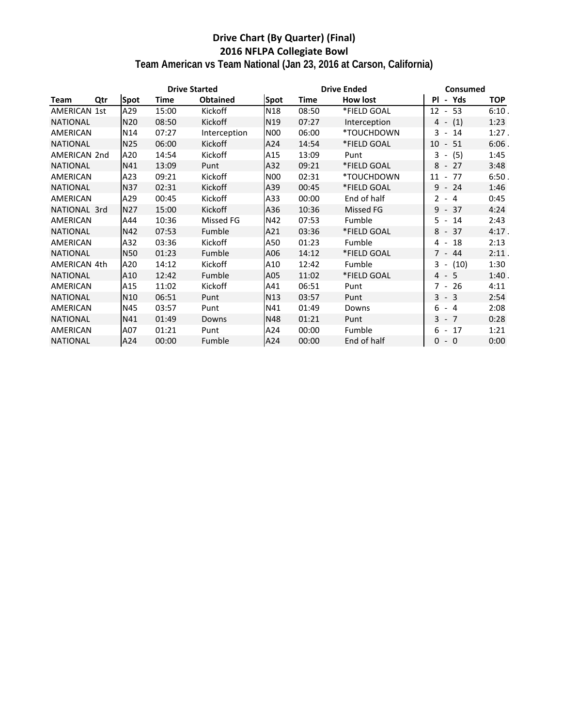# **Drive Chart (By Quarter) (Final) 2016 NFLPA Collegiate Bowl**

**Team American vs Team National (Jan 23, 2016 at Carson, California)**

|                 |     |                 | <b>Drive Started</b> |                 |                 |             | <b>Drive Ended</b> | Consumed  |            |            |  |  |
|-----------------|-----|-----------------|----------------------|-----------------|-----------------|-------------|--------------------|-----------|------------|------------|--|--|
| <b>Team</b>     | Qtr | <b>Spot</b>     | <b>Time</b>          | <b>Obtained</b> | Spot            | <b>Time</b> | How lost           | <b>PI</b> | - Yds      | <b>TOP</b> |  |  |
| AMERICAN 1st    |     | A29             | 15:00                | Kickoff         | N18             | 08:50       | *FIELD GOAL        | $12 - 53$ |            | 6:10.      |  |  |
| <b>NATIONAL</b> |     | N <sub>20</sub> | 08:50                | Kickoff         | N <sub>19</sub> | 07:27       | Interception       | 4 -       | (1)        | 1:23       |  |  |
| AMERICAN        |     | N14             | 07:27                | Interception    | <b>N00</b>      | 06:00       | *TOUCHDOWN         | $3 - 14$  |            | 1:27.      |  |  |
| <b>NATIONAL</b> |     | N <sub>25</sub> | 06:00                | Kickoff         | A24             | 14:54       | *FIELD GOAL        | $10 - 51$ |            | $6:06$ .   |  |  |
| AMERICAN 2nd    |     | A20             | 14:54                | Kickoff         | A15             | 13:09       | Punt               | $3 -$     | (5)        | 1:45       |  |  |
| <b>NATIONAL</b> |     | N41             | 13:09                | Punt            | A32             | 09:21       | *FIELD GOAL        | $8 - 27$  |            | 3:48       |  |  |
| AMERICAN        |     | A23             | 09:21                | Kickoff         | <b>N00</b>      | 02:31       | *TOUCHDOWN         | $11 - 77$ |            | 6:50.      |  |  |
| <b>NATIONAL</b> |     | <b>N37</b>      | 02:31                | Kickoff         | A39             | 00:45       | *FIELD GOAL        | $9 - 24$  |            | 1:46       |  |  |
| AMERICAN        |     | A29             | 00:45                | Kickoff         | A33             | 00:00       | End of half        | $2 - 4$   |            | 0:45       |  |  |
| NATIONAL 3rd    |     | N27             | 15:00                | Kickoff         | A36             | 10:36       | Missed FG          | $9 - 37$  |            | 4:24       |  |  |
| AMERICAN        |     | A44             | 10:36                | Missed FG       | N42             | 07:53       | Fumble             | $5 - 14$  |            | 2:43       |  |  |
| <b>NATIONAL</b> |     | N42             | 07:53                | Fumble          | A21             | 03:36       | *FIELD GOAL        | $8 - 37$  |            | $4:17$ .   |  |  |
| AMERICAN        |     | A32             | 03:36                | Kickoff         | A50             | 01:23       | Fumble             | $4 - 18$  |            | 2:13       |  |  |
| <b>NATIONAL</b> |     | <b>N50</b>      | 01:23                | Fumble          | A06             | 14:12       | *FIELD GOAL        | $7 - 44$  |            | 2:11.      |  |  |
| AMERICAN 4th    |     | A20             | 14:12                | Kickoff         | A10             | 12:42       | Fumble             |           | $3 - (10)$ | 1:30       |  |  |
| <b>NATIONAL</b> |     | A10             | 12:42                | Fumble          | A05             | 11:02       | *FIELD GOAL        | $4 - 5$   |            | 1:40.      |  |  |
| AMERICAN        |     | A15             | 11:02                | Kickoff         | A41             | 06:51       | Punt               | 7 - 26    |            | 4:11       |  |  |
| <b>NATIONAL</b> |     | N <sub>10</sub> | 06:51                | Punt            | N13             | 03:57       | Punt               | $3 - 3$   |            | 2:54       |  |  |
| AMERICAN        |     | N45             | 03:57                | Punt            | N41             | 01:49       | Downs              | $6 - 4$   |            | 2:08       |  |  |
| <b>NATIONAL</b> |     | N41             | 01:49                | Downs           | N48             | 01:21       | Punt               | $3 - 7$   |            | 0:28       |  |  |
| AMERICAN        |     | A07             | 01:21                | Punt            | A24             | 00:00       | Fumble             | $6 - 17$  |            | 1:21       |  |  |
| <b>NATIONAL</b> |     | A24             | 00:00                | Fumble          | A24             | 00:00       | End of half        | $0 - 0$   |            | 0:00       |  |  |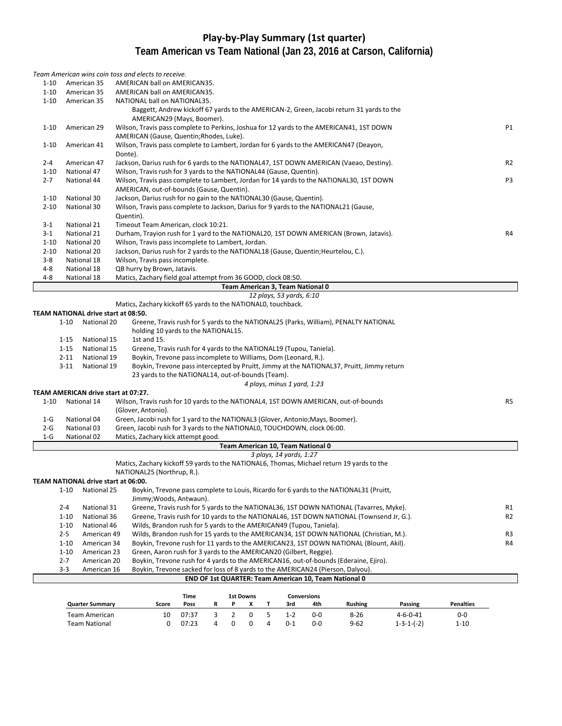# **Play‐by‐Play Summary (1st quarter) Team American vs Team National (Jan 23, 2016 at Carson, California)**

|          |          |                                                    |           | Team American wins coin toss and elects to receive.                                   |             |   |                |                  |   |                             |                                   |                                                                                           |                    |                  |                |
|----------|----------|----------------------------------------------------|-----------|---------------------------------------------------------------------------------------|-------------|---|----------------|------------------|---|-----------------------------|-----------------------------------|-------------------------------------------------------------------------------------------|--------------------|------------------|----------------|
| $1 - 10$ |          | American 35                                        |           | AMERICAN ball on AMERICAN35.                                                          |             |   |                |                  |   |                             |                                   |                                                                                           |                    |                  |                |
| $1 - 10$ |          | American 35                                        |           | AMERICAN ball on AMERICAN35.                                                          |             |   |                |                  |   |                             |                                   |                                                                                           |                    |                  |                |
| $1 - 10$ |          | American 35                                        |           | NATIONAL ball on NATIONAL35.                                                          |             |   |                |                  |   |                             |                                   |                                                                                           |                    |                  |                |
|          |          |                                                    |           |                                                                                       |             |   |                |                  |   |                             |                                   | Baggett, Andrew kickoff 67 yards to the AMERICAN-2, Green, Jacobi return 31 yards to the  |                    |                  |                |
|          |          |                                                    |           | AMERICAN29 (Mays, Boomer).                                                            |             |   |                |                  |   |                             |                                   |                                                                                           |                    |                  |                |
| $1 - 10$ |          | American 29                                        |           |                                                                                       |             |   |                |                  |   |                             |                                   | Wilson, Travis pass complete to Perkins, Joshua for 12 yards to the AMERICAN41, 1ST DOWN  |                    |                  | P1             |
|          |          |                                                    |           | AMERICAN (Gause, Quentin; Rhodes, Luke).                                              |             |   |                |                  |   |                             |                                   |                                                                                           |                    |                  |                |
| $1 - 10$ |          | American 41                                        |           |                                                                                       |             |   |                |                  |   |                             |                                   | Wilson, Travis pass complete to Lambert, Jordan for 6 yards to the AMERICAN47 (Deayon,    |                    |                  |                |
|          |          |                                                    | Donte).   |                                                                                       |             |   |                |                  |   |                             |                                   |                                                                                           |                    |                  |                |
| $2 - 4$  |          | American 47                                        |           |                                                                                       |             |   |                |                  |   |                             |                                   | Jackson, Darius rush for 6 yards to the NATIONAL47, 1ST DOWN AMERICAN (Vaeao, Destiny).   |                    |                  | R <sub>2</sub> |
| $1 - 10$ |          | National 47                                        |           | Wilson, Travis rush for 3 yards to the NATIONAL44 (Gause, Quentin).                   |             |   |                |                  |   |                             |                                   |                                                                                           |                    |                  |                |
| $2 - 7$  |          | National 44                                        |           | AMERICAN, out-of-bounds (Gause, Quentin).                                             |             |   |                |                  |   |                             |                                   | Wilson, Travis pass complete to Lambert, Jordan for 14 yards to the NATIONAL30, 1ST DOWN  |                    |                  | P3             |
| $1 - 10$ |          | National 30                                        |           | Jackson, Darius rush for no gain to the NATIONAL30 (Gause, Quentin).                  |             |   |                |                  |   |                             |                                   |                                                                                           |                    |                  |                |
| $2 - 10$ |          | National 30                                        |           | Wilson, Travis pass complete to Jackson, Darius for 9 yards to the NATIONAL21 (Gause, |             |   |                |                  |   |                             |                                   |                                                                                           |                    |                  |                |
|          |          |                                                    | Quentin). |                                                                                       |             |   |                |                  |   |                             |                                   |                                                                                           |                    |                  |                |
| $3-1$    |          | National 21                                        |           | Timeout Team American, clock 10:21.                                                   |             |   |                |                  |   |                             |                                   |                                                                                           |                    |                  |                |
| $3-1$    |          | National 21                                        |           |                                                                                       |             |   |                |                  |   |                             |                                   | Durham, Trayion rush for 1 yard to the NATIONAL20, 1ST DOWN AMERICAN (Brown, Jatavis).    |                    |                  | R4             |
| $1 - 10$ |          | National 20                                        |           | Wilson, Travis pass incomplete to Lambert, Jordan.                                    |             |   |                |                  |   |                             |                                   |                                                                                           |                    |                  |                |
| $2 - 10$ |          | National 20                                        |           | Jackson, Darius rush for 2 yards to the NATIONAL18 (Gause, Quentin; Heurtelou, C.).   |             |   |                |                  |   |                             |                                   |                                                                                           |                    |                  |                |
| $3 - 8$  |          | National 18                                        |           | Wilson, Travis pass incomplete.                                                       |             |   |                |                  |   |                             |                                   |                                                                                           |                    |                  |                |
| 4-8      |          | National 18                                        |           | QB hurry by Brown, Jatavis.                                                           |             |   |                |                  |   |                             |                                   |                                                                                           |                    |                  |                |
| $4 - 8$  |          | National 18                                        |           | Matics, Zachary field goal attempt from 36 GOOD, clock 08:50.                         |             |   |                |                  |   |                             |                                   |                                                                                           |                    |                  |                |
|          |          |                                                    |           |                                                                                       |             |   |                |                  |   |                             | Team American 3, Team National 0  |                                                                                           |                    |                  |                |
|          |          |                                                    |           |                                                                                       |             |   |                |                  |   | 12 plays, 53 yards, 6:10    |                                   |                                                                                           |                    |                  |                |
|          |          |                                                    |           | Matics, Zachary kickoff 65 yards to the NATIONALO, touchback.                         |             |   |                |                  |   |                             |                                   |                                                                                           |                    |                  |                |
|          |          | TEAM NATIONAL drive start at 08:50.<br>National 20 |           |                                                                                       |             |   |                |                  |   |                             |                                   |                                                                                           |                    |                  |                |
|          | $1 - 10$ |                                                    |           | holding 10 yards to the NATIONAL15.                                                   |             |   |                |                  |   |                             |                                   | Greene, Travis rush for 5 yards to the NATIONAL25 (Parks, William), PENALTY NATIONAL      |                    |                  |                |
|          | $1 - 15$ | National 15                                        |           | 1st and 15.                                                                           |             |   |                |                  |   |                             |                                   |                                                                                           |                    |                  |                |
|          | $1 - 15$ | National 15                                        |           | Greene, Travis rush for 4 yards to the NATIONAL19 (Tupou, Taniela).                   |             |   |                |                  |   |                             |                                   |                                                                                           |                    |                  |                |
|          | $2 - 11$ | National 19                                        |           | Boykin, Trevone pass incomplete to Williams, Dom (Leonard, R.).                       |             |   |                |                  |   |                             |                                   |                                                                                           |                    |                  |                |
|          | $3-11$   | National 19                                        |           |                                                                                       |             |   |                |                  |   |                             |                                   | Boykin, Trevone pass intercepted by Pruitt, Jimmy at the NATIONAL37, Pruitt, Jimmy return |                    |                  |                |
|          |          |                                                    |           | 23 yards to the NATIONAL14, out-of-bounds (Team).                                     |             |   |                |                  |   |                             |                                   |                                                                                           |                    |                  |                |
|          |          |                                                    |           |                                                                                       |             |   |                |                  |   | 4 plays, minus 1 yard, 1:23 |                                   |                                                                                           |                    |                  |                |
|          |          | TEAM AMERICAN drive start at 07:27.                |           |                                                                                       |             |   |                |                  |   |                             |                                   |                                                                                           |                    |                  |                |
| $1 - 10$ |          | National 14                                        |           |                                                                                       |             |   |                |                  |   |                             |                                   | Wilson, Travis rush for 10 yards to the NATIONAL4, 1ST DOWN AMERICAN, out-of-bounds       |                    |                  | R <sub>5</sub> |
|          |          |                                                    |           | (Glover, Antonio).                                                                    |             |   |                |                  |   |                             |                                   |                                                                                           |                    |                  |                |
| $1-G$    |          | National 04                                        |           | Green, Jacobi rush for 1 yard to the NATIONAL3 (Glover, Antonio; Mays, Boomer).       |             |   |                |                  |   |                             |                                   |                                                                                           |                    |                  |                |
| $2-G$    |          | National 03                                        |           | Green, Jacobi rush for 3 yards to the NATIONALO, TOUCHDOWN, clock 06:00.              |             |   |                |                  |   |                             |                                   |                                                                                           |                    |                  |                |
| $1-G$    |          | National 02                                        |           | Matics, Zachary kick attempt good.                                                    |             |   |                |                  |   |                             |                                   |                                                                                           |                    |                  |                |
|          |          |                                                    |           |                                                                                       |             |   |                |                  |   | 3 plays, 14 yards, 1:27     | Team American 10, Team National 0 |                                                                                           |                    |                  |                |
|          |          |                                                    |           |                                                                                       |             |   |                |                  |   |                             |                                   | Matics, Zachary kickoff 59 yards to the NATIONAL6, Thomas, Michael return 19 yards to the |                    |                  |                |
|          |          |                                                    |           | NATIONAL25 (Northrup, R.).                                                            |             |   |                |                  |   |                             |                                   |                                                                                           |                    |                  |                |
|          |          | TEAM NATIONAL drive start at 06:00.                |           |                                                                                       |             |   |                |                  |   |                             |                                   |                                                                                           |                    |                  |                |
|          | $1 - 10$ | National 25                                        |           |                                                                                       |             |   |                |                  |   |                             |                                   | Boykin, Trevone pass complete to Louis, Ricardo for 6 yards to the NATIONAL31 (Pruitt,    |                    |                  |                |
|          |          |                                                    |           | Jimmy; Woods, Antwaun).                                                               |             |   |                |                  |   |                             |                                   |                                                                                           |                    |                  |                |
|          | $2 - 4$  | National 31                                        |           |                                                                                       |             |   |                |                  |   |                             |                                   | Greene, Travis rush for 5 yards to the NATIONAL36, 1ST DOWN NATIONAL (Tavarres, Myke).    |                    |                  | R1             |
|          | $1 - 10$ | National 36                                        |           |                                                                                       |             |   |                |                  |   |                             |                                   | Greene, Travis rush for 10 yards to the NATIONAL46, 1ST DOWN NATIONAL (Townsend Jr, G.).  |                    |                  | R <sub>2</sub> |
|          | $1 - 10$ | National 46                                        |           | Wilds, Brandon rush for 5 yards to the AMERICAN49 (Tupou, Taniela).                   |             |   |                |                  |   |                             |                                   |                                                                                           |                    |                  |                |
|          | $2 - 5$  | American 49                                        |           |                                                                                       |             |   |                |                  |   |                             |                                   | Wilds, Brandon rush for 15 yards to the AMERICAN34, 1ST DOWN NATIONAL (Christian, M.).    |                    |                  | R3             |
|          | $1 - 10$ | American 34                                        |           |                                                                                       |             |   |                |                  |   |                             |                                   | Boykin, Trevone rush for 11 yards to the AMERICAN23, 1ST DOWN NATIONAL (Blount, Akil).    |                    |                  | R4             |
|          | $1 - 10$ | American 23                                        |           | Green, Aaron rush for 3 yards to the AMERICAN20 (Gilbert, Reggie).                    |             |   |                |                  |   |                             |                                   |                                                                                           |                    |                  |                |
|          | $2 - 7$  | American 20                                        |           |                                                                                       |             |   |                |                  |   |                             |                                   | Boykin, Trevone rush for 4 yards to the AMERICAN16, out-of-bounds (Ederaine, Ejiro).      |                    |                  |                |
|          | $3 - 3$  | American 16                                        |           | Boykin, Trevone sacked for loss of 8 yards to the AMERICAN24 (Pierson, Dalyou).       |             |   |                |                  |   |                             |                                   |                                                                                           |                    |                  |                |
|          |          |                                                    |           |                                                                                       |             |   |                |                  |   |                             |                                   | END OF 1st QUARTER: Team American 10, Team National 0                                     |                    |                  |                |
|          |          |                                                    |           |                                                                                       | <b>Time</b> |   |                | <b>1st Downs</b> |   |                             | <b>Conversions</b>                |                                                                                           |                    |                  |                |
|          |          | <b>Quarter Summary</b>                             |           | Score                                                                                 | Poss        | R | P              | x                | т | 3rd                         | 4th                               | <b>Rushing</b>                                                                            | Passing            | <b>Penalties</b> |                |
|          |          | <b>Team American</b>                               |           | 10                                                                                    | 07:37       | 3 | $\overline{2}$ | $\mathbf 0$      | 5 | $1 - 2$                     | $0-0$                             | $8 - 26$                                                                                  | $4 - 6 - 0 - 41$   | $0-0$            |                |
|          |          | <b>Team National</b>                               |           | 0                                                                                     | 07:23       | 4 | 0              | 0                | 4 | $0 - 1$                     | $0-0$                             | $9 - 62$                                                                                  | $1 - 3 - 1 - (-2)$ | $1 - 10$         |                |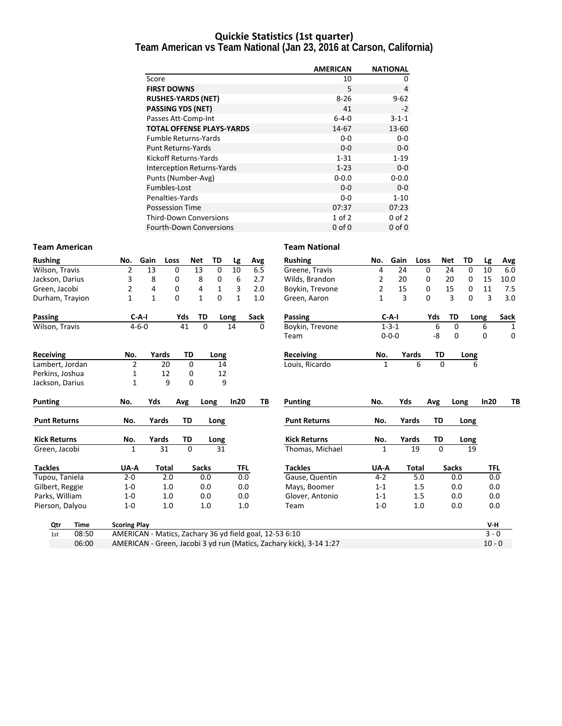### **Quickie Statistics (1st quarter)**

**Team American vs Team National (Jan 23, 2016 at Carson, California)**

|                                   | <b>AMERICAN</b> | <b>NATIONAL</b> |
|-----------------------------------|-----------------|-----------------|
| Score                             | 10              | 0               |
| <b>FIRST DOWNS</b>                | 5               | 4               |
| <b>RUSHES-YARDS (NET)</b>         | $8 - 26$        | $9 - 62$        |
| <b>PASSING YDS (NET)</b>          | 41              | $-2$            |
| Passes Att-Comp-Int               | $6 - 4 - 0$     | $3 - 1 - 1$     |
| <b>TOTAL OFFENSE PLAYS-YARDS</b>  | 14-67           | 13-60           |
| <b>Fumble Returns-Yards</b>       | $0-0$           | 0-0             |
| <b>Punt Returns-Yards</b>         | $0 - 0$         | $0-0$           |
| Kickoff Returns-Yards             | $1 - 31$        | $1 - 19$        |
| <b>Interception Returns-Yards</b> | $1 - 23$        | $0 - 0$         |
| Punts (Number-Avg)                | $0 - 0.0$       | $0 - 0.0$       |
| Fumbles-Lost                      | $0 - 0$         | $0 - 0$         |
| Penalties-Yards                   | $0 - 0$         | $1 - 10$        |
| <b>Possession Time</b>            | 07:37           | 07:23           |
| <b>Third-Down Conversions</b>     | $1$ of $2$      | $0$ of $2$      |
| <b>Fourth-Down Conversions</b>    | $0$ of $0$      | $0$ of $0$      |

#### **Team American Team National**

| <b>Rushing</b>      |             | No.                 | Gain         | Loss  | <b>Net</b>   | TD       | Lg           | Avg                                                     | <b>Rushing</b>                                                      | No.     | Gain        | Loss  | Net         | TD           |      | Lg       | <b>Avg</b>  |
|---------------------|-------------|---------------------|--------------|-------|--------------|----------|--------------|---------------------------------------------------------|---------------------------------------------------------------------|---------|-------------|-------|-------------|--------------|------|----------|-------------|
| Wilson, Travis      |             | 2                   | 13           | 0     | 13           | $\Omega$ | 10           | 6.5                                                     | Greene, Travis                                                      | 4       | 24          | 0     |             | 24           | 0    | 10       | 6.0         |
| Jackson, Darius     |             | 3                   | 8            | 0     | 8            | 0        | 6            | 2.7                                                     | Wilds, Brandon                                                      | 2       | 20          | 0     |             | 20           | 0    | 15       | 10.0        |
| Green, Jacobi       |             | 2                   | 4            | 0     | 4            | 1        | 3            | 2.0                                                     | Boykin, Trevone                                                     | 2       | 15          | 0     |             | 15           | 0    | 11       | 7.5         |
| Durham, Trayion     |             | $\mathbf{1}$        | $\mathbf{1}$ | 0     | $\mathbf{1}$ | 0        | $\mathbf{1}$ | 1.0                                                     | Green, Aaron                                                        | 1       | 3           | 0     |             | 3            | 0    | 3        | 3.0         |
| Passing             |             |                     | $C-A-I$      |       | Yds<br>TD    |          | Long         | <b>Sack</b>                                             | Passing                                                             |         | $C-A-I$     |       | Yds         | TD           | Long |          | Sack        |
| Wilson, Travis      |             |                     | $4 - 6 - 0$  |       | 41           | $\Omega$ | 14           | $\Omega$                                                | Boykin, Trevone                                                     |         | $1 - 3 - 1$ |       | 6           | $\Omega$     |      | 6        | 1           |
|                     |             |                     |              |       |              |          |              |                                                         | Team                                                                |         | $0 - 0 - 0$ |       | -8          | 0            |      | $\Omega$ | $\mathbf 0$ |
| <b>Receiving</b>    |             | No.                 | Yards        |       | TD           | Long     |              |                                                         | Receiving                                                           | No.     |             | Yards | TD          |              | Long |          |             |
| Lambert, Jordan     |             | $\overline{2}$      |              | 20    | 0            | 14       |              |                                                         | Louis, Ricardo                                                      | 1       |             | 6     | $\Omega$    |              | 6    |          |             |
| Perkins, Joshua     |             | 1                   |              | 12    | 0            | 12       |              |                                                         |                                                                     |         |             |       |             |              |      |          |             |
| Jackson, Darius     |             | $\mathbf{1}$        |              | 9     | $\Omega$     | 9        |              |                                                         |                                                                     |         |             |       |             |              |      |          |             |
| <b>Punting</b>      |             | No.                 | Yds          |       | Avg          | Long     | In20         | ТB                                                      | <b>Punting</b>                                                      | No.     | Yds         |       | Avg         | Long         |      | In20     | ТB          |
| <b>Punt Returns</b> |             | No.                 | Yards        |       | <b>TD</b>    | Long     |              |                                                         | <b>Punt Returns</b>                                                 | No.     | Yards       |       | TD          | Long         |      |          |             |
| <b>Kick Returns</b> |             | No.                 | Yards        |       | <b>TD</b>    | Long     |              |                                                         | <b>Kick Returns</b>                                                 | No.     | Yards       |       | TD          |              | Long |          |             |
| Green, Jacobi       |             | $\mathbf{1}$        |              | 31    | $\mathbf 0$  | 31       |              |                                                         | Thomas, Michael                                                     | 1       |             | 19    | $\mathbf 0$ |              | 19   |          |             |
| <b>Tackles</b>      |             | UA-A                |              | Total | <b>Sacks</b> |          | <b>TFL</b>   |                                                         | <b>Tackles</b>                                                      | UA-A    |             | Total |             | <b>Sacks</b> |      | TFL      |             |
| Tupou, Taniela      |             | $2 - 0$             |              | 2.0   |              | 0.0      | 0.0          |                                                         | Gause, Quentin                                                      | $4 - 2$ |             | 5.0   |             | 0.0          |      | 0.0      |             |
| Gilbert, Reggie     |             | $1 - 0$             |              | 1.0   |              | 0.0      | 0.0          |                                                         | Mays, Boomer                                                        | $1 - 1$ |             | 1.5   |             | 0.0          |      | 0.0      |             |
| Parks, William      |             | $1-0$               |              | 1.0   |              | 0.0      | 0.0          |                                                         | Glover, Antonio                                                     | $1 - 1$ |             | 1.5   |             | 0.0          |      | 0.0      |             |
| Pierson, Dalyou     |             | $1-0$               |              | 1.0   |              | 1.0      | 1.0          |                                                         | Team                                                                | $1 - 0$ |             | 1.0   |             | 0.0          |      | 0.0      |             |
| Qtr                 | <b>Time</b> | <b>Scoring Play</b> |              |       |              |          |              |                                                         |                                                                     |         |             |       |             |              |      | V-H      |             |
| 1st                 | 08:50       |                     |              |       |              |          |              | AMERICAN - Matics, Zachary 36 yd field goal, 12-53 6:10 |                                                                     |         |             |       |             |              |      | $3 - 0$  |             |
|                     | 06:00       |                     |              |       |              |          |              |                                                         | AMERICAN - Green, Jacobi 3 yd run (Matics, Zachary kick), 3-14 1:27 |         |             |       |             |              |      | $10 - 0$ |             |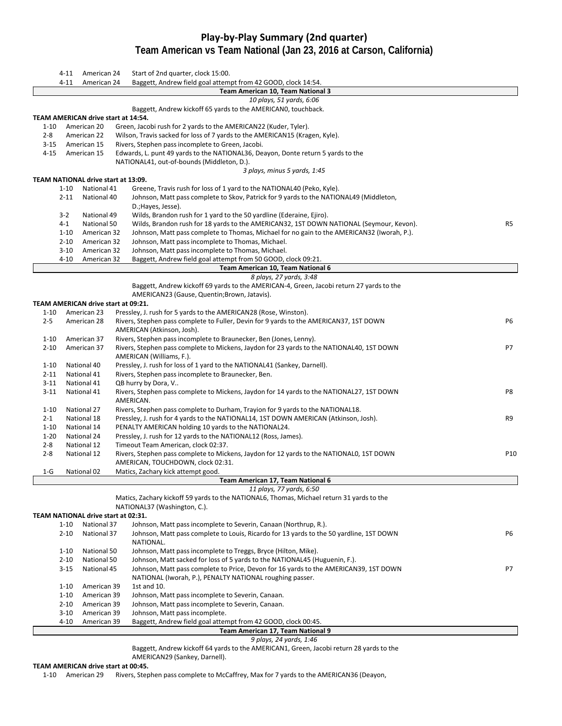# **Play‐by‐Play Summary (2nd quarter) Team American vs Team National (Jan 23, 2016 at Carson, California)**

|          | 4-11     | American 24                         | Start of 2nd quarter, clock 15:00.                                                                                                                                      |     |
|----------|----------|-------------------------------------|-------------------------------------------------------------------------------------------------------------------------------------------------------------------------|-----|
|          | $4 - 11$ | American 24                         | Baggett, Andrew field goal attempt from 42 GOOD, clock 14:54.                                                                                                           |     |
|          |          |                                     | Team American 10, Team National 3                                                                                                                                       |     |
|          |          |                                     | 10 plays, 51 yards, 6:06<br>Baggett, Andrew kickoff 65 yards to the AMERICANO, touchback.                                                                               |     |
|          |          | TEAM AMERICAN drive start at 14:54. |                                                                                                                                                                         |     |
| $1 - 10$ |          | American 20                         | Green, Jacobi rush for 2 yards to the AMERICAN22 (Kuder, Tyler).                                                                                                        |     |
| $2 - 8$  |          | American 22                         | Wilson, Travis sacked for loss of 7 yards to the AMERICAN15 (Kragen, Kyle).                                                                                             |     |
| $3 - 15$ |          | American 15                         | Rivers, Stephen pass incomplete to Green, Jacobi.                                                                                                                       |     |
| $4 - 15$ |          | American 15                         | Edwards, L. punt 49 yards to the NATIONAL36, Deayon, Donte return 5 yards to the                                                                                        |     |
|          |          |                                     | NATIONAL41, out-of-bounds (Middleton, D.).                                                                                                                              |     |
|          |          | TEAM NATIONAL drive start at 13:09. | 3 plays, minus 5 yards, 1:45                                                                                                                                            |     |
|          | $1 - 10$ | National 41                         | Greene, Travis rush for loss of 1 yard to the NATIONAL40 (Peko, Kyle).                                                                                                  |     |
|          | $2 - 11$ | National 40                         | Johnson, Matt pass complete to Skov, Patrick for 9 yards to the NATIONAL49 (Middleton,                                                                                  |     |
|          |          |                                     | D.; Hayes, Jesse).                                                                                                                                                      |     |
|          | $3-2$    | National 49                         | Wilds, Brandon rush for 1 yard to the 50 yardline (Ederaine, Ejiro).                                                                                                    |     |
|          | $4 - 1$  | National 50                         | Wilds, Brandon rush for 18 yards to the AMERICAN32, 1ST DOWN NATIONAL (Seymour, Kevon).                                                                                 | R5  |
|          | $1 - 10$ | American 32                         | Johnson, Matt pass complete to Thomas, Michael for no gain to the AMERICAN32 (Iworah, P.).                                                                              |     |
|          | $2 - 10$ | American 32                         | Johnson, Matt pass incomplete to Thomas, Michael.                                                                                                                       |     |
|          | $3 - 10$ | American 32                         | Johnson, Matt pass incomplete to Thomas, Michael.                                                                                                                       |     |
|          | $4 - 10$ | American 32                         | Baggett, Andrew field goal attempt from 50 GOOD, clock 09:21.                                                                                                           |     |
|          |          |                                     | Team American 10, Team National 6                                                                                                                                       |     |
|          |          |                                     | 8 plays, 27 yards, 3:48<br>Baggett, Andrew kickoff 69 yards to the AMERICAN-4, Green, Jacobi return 27 yards to the                                                     |     |
|          |          |                                     | AMERICAN23 (Gause, Quentin; Brown, Jatavis).                                                                                                                            |     |
|          |          | TEAM AMERICAN drive start at 09:21. |                                                                                                                                                                         |     |
| $1 - 10$ |          | American 23                         | Pressley, J. rush for 5 yards to the AMERICAN28 (Rose, Winston).                                                                                                        |     |
| $2 - 5$  |          | American 28                         | Rivers, Stephen pass complete to Fuller, Devin for 9 yards to the AMERICAN37, 1ST DOWN                                                                                  | P6  |
|          |          |                                     | AMERICAN (Atkinson, Josh).                                                                                                                                              |     |
| $1 - 10$ |          | American 37                         | Rivers, Stephen pass incomplete to Braunecker, Ben (Jones, Lenny).                                                                                                      |     |
| $2 - 10$ |          | American 37                         | Rivers, Stephen pass complete to Mickens, Jaydon for 23 yards to the NATIONAL40, 1ST DOWN                                                                               | P7  |
|          |          |                                     | AMERICAN (Williams, F.).                                                                                                                                                |     |
| $1 - 10$ |          | National 40                         | Pressley, J. rush for loss of 1 yard to the NATIONAL41 (Sankey, Darnell).                                                                                               |     |
| $2 - 11$ |          | National 41                         | Rivers, Stephen pass incomplete to Braunecker, Ben.                                                                                                                     |     |
| $3 - 11$ |          | National 41                         | QB hurry by Dora, V                                                                                                                                                     |     |
| $3-11$   |          | National 41                         | Rivers, Stephen pass complete to Mickens, Jaydon for 14 yards to the NATIONAL27, 1ST DOWN                                                                               | P8  |
| $1 - 10$ |          | National 27                         | AMERICAN.                                                                                                                                                               |     |
| $2 - 1$  |          | National 18                         | Rivers, Stephen pass complete to Durham, Trayion for 9 yards to the NATIONAL18.<br>Pressley, J. rush for 4 yards to the NATIONAL14, 1ST DOWN AMERICAN (Atkinson, Josh). | R9  |
| $1 - 10$ |          | National 14                         | PENALTY AMERICAN holding 10 yards to the NATIONAL24.                                                                                                                    |     |
| $1 - 20$ |          | National 24                         | Pressley, J. rush for 12 yards to the NATIONAL12 (Ross, James).                                                                                                         |     |
| $2 - 8$  |          | National 12                         | Timeout Team American, clock 02:37.                                                                                                                                     |     |
| $2 - 8$  |          | National 12                         | Rivers, Stephen pass complete to Mickens, Jaydon for 12 yards to the NATIONALO, 1ST DOWN                                                                                | P10 |
|          |          |                                     | AMERICAN, TOUCHDOWN, clock 02:31.                                                                                                                                       |     |
| $1-G$    |          | National 02                         | Matics, Zachary kick attempt good.                                                                                                                                      |     |
|          |          |                                     | Team American 17, Team National 6                                                                                                                                       |     |
|          |          |                                     | 11 plays, 77 yards, 6:50                                                                                                                                                |     |
|          |          |                                     | Matics, Zachary kickoff 59 yards to the NATIONAL6, Thomas, Michael return 31 yards to the                                                                               |     |
|          |          | TEAM NATIONAL drive start at 02:31. | NATIONAL37 (Washington, C.).                                                                                                                                            |     |
|          | $1 - 10$ | National 37                         | Johnson, Matt pass incomplete to Severin, Canaan (Northrup, R.).                                                                                                        |     |
|          | $2 - 10$ | National 37                         | Johnson, Matt pass complete to Louis, Ricardo for 13 yards to the 50 yardline, 1ST DOWN                                                                                 | P6  |
|          |          |                                     | NATIONAL.                                                                                                                                                               |     |
|          | $1 - 10$ | National 50                         | Johnson, Matt pass incomplete to Treggs, Bryce (Hilton, Mike).                                                                                                          |     |
|          | $2 - 10$ | National 50                         | Johnson, Matt sacked for loss of 5 yards to the NATIONAL45 (Huguenin, F.).                                                                                              |     |
|          | $3 - 15$ | National 45                         | Johnson, Matt pass complete to Price, Devon for 16 yards to the AMERICAN39, 1ST DOWN                                                                                    | P7  |
|          |          |                                     | NATIONAL (Iworah, P.), PENALTY NATIONAL roughing passer.                                                                                                                |     |
|          | $1 - 10$ | American 39                         | 1st and 10.                                                                                                                                                             |     |
|          | $1 - 10$ | American 39                         | Johnson, Matt pass incomplete to Severin, Canaan.                                                                                                                       |     |
|          | $2 - 10$ | American 39                         | Johnson, Matt pass incomplete to Severin, Canaan.                                                                                                                       |     |
|          | $3 - 10$ | American 39                         | Johnson, Matt pass incomplete.                                                                                                                                          |     |
|          | $4 - 10$ | American 39                         | Baggett, Andrew field goal attempt from 42 GOOD, clock 00:45.                                                                                                           |     |
|          |          |                                     | Team American 17, Team National 9<br>9 plays, 24 yards, 1:46                                                                                                            |     |
|          |          |                                     | Baggett, Andrew kickoff 64 yards to the AMERICAN1, Green, Jacobi return 28 yards to the                                                                                 |     |
|          |          |                                     |                                                                                                                                                                         |     |

#### AMERICAN29 (Sankey, Darnell).

#### **TEAM AMERICAN drive start at 00:45.**

‐10 American 29 Rivers, Stephen pass complete to McCaffrey, Max for 7 yards to the AMERICAN36 (Deayon,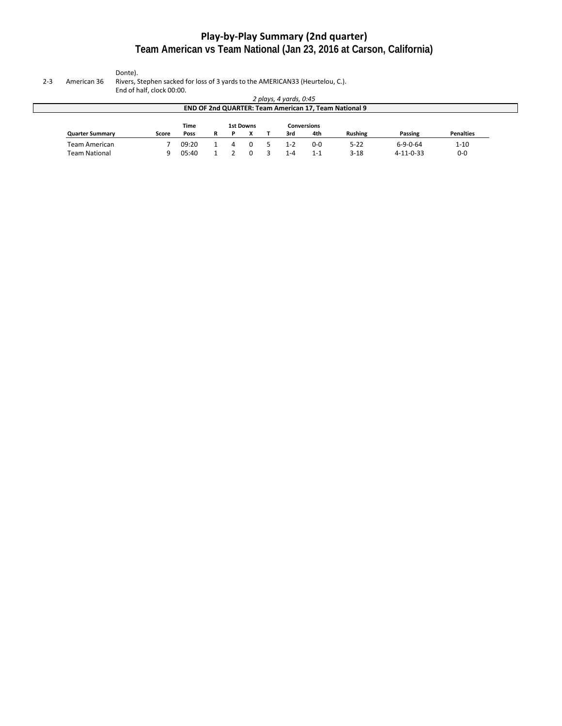# **Play‐by‐Play Summary (2nd quarter) Team American vs Team National (Jan 23, 2016 at Carson, California)**

Donte).

2‐3 American 36 Rivers, Stephen sacked for loss of 3 yards to the AMERICAN33 (Heurtelou, C.).

End of half, clock 00:00.

|                        |                                                       |       |   |   |  |  | 2 plays, 4 yards, 0:45 |         |                |                   |                  |  |  |  |
|------------------------|-------------------------------------------------------|-------|---|---|--|--|------------------------|---------|----------------|-------------------|------------------|--|--|--|
|                        | END OF 2nd QUARTER: Team American 17, Team National 9 |       |   |   |  |  |                        |         |                |                   |                  |  |  |  |
|                        |                                                       |       |   |   |  |  |                        |         |                |                   |                  |  |  |  |
| <b>Quarter Summary</b> | Score                                                 | Poss  | R | D |  |  | 3rd                    | 4th     | <b>Rushing</b> | <b>Passing</b>    | <b>Penalties</b> |  |  |  |
| Team American          |                                                       | 09:20 |   |   |  |  | $1 - 2$                | $0-0$   | $5 - 22$       | $6 - 9 - 0 - 64$  | $1 - 10$         |  |  |  |
| Team National          | q                                                     | 05:40 |   |   |  |  | $-4$                   | $1 - 1$ | $3 - 18$       | $4 - 11 - 0 - 33$ | $0-0$            |  |  |  |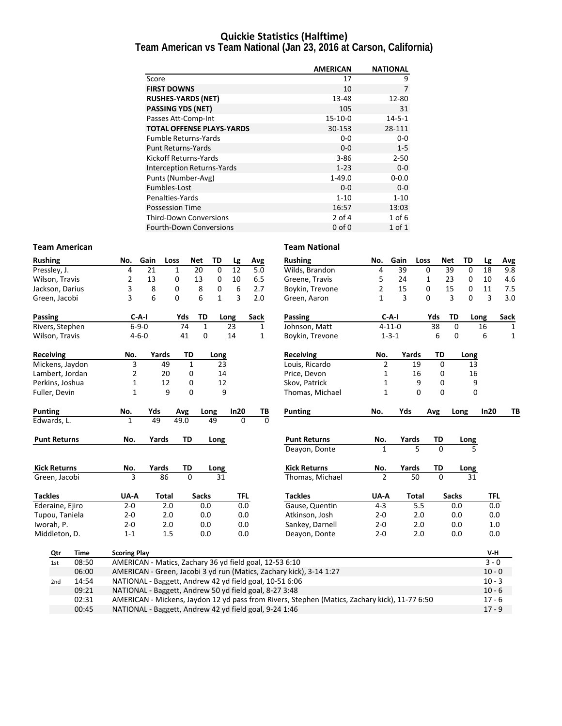### **Quickie Statistics (Halftime)**

**Team American vs Team National (Jan 23, 2016 at Carson, California)**

|                                   | <b>AMERICAN</b> | <b>NATIONAL</b> |
|-----------------------------------|-----------------|-----------------|
| Score                             | 17              | 9               |
| <b>FIRST DOWNS</b>                | 10              | 7               |
| <b>RUSHES-YARDS (NET)</b>         | 13-48           | 12-80           |
| <b>PASSING YDS (NET)</b>          | 105             | 31              |
| Passes Att-Comp-Int               | $15-10-0$       | $14 - 5 - 1$    |
| <b>TOTAL OFFENSE PLAYS-YARDS</b>  | 30-153          | 28-111          |
| <b>Fumble Returns-Yards</b>       | $0-0$           | $0 - 0$         |
| <b>Punt Returns-Yards</b>         | $0 - 0$         | $1-5$           |
| Kickoff Returns-Yards             | $3 - 86$        | $2 - 50$        |
| <b>Interception Returns-Yards</b> | $1 - 23$        | $0-0$           |
| Punts (Number-Avg)                | $1 - 49.0$      | $0 - 0.0$       |
| Fumbles-Lost                      | $0 - 0$         | $0-0$           |
| Penalties-Yards                   | $1 - 10$        | $1 - 10$        |
| <b>Possession Time</b>            | 16:57           | 13:03           |
| <b>Third-Down Conversions</b>     | $2$ of 4        | $1$ of 6        |
| <b>Fourth-Down Conversions</b>    | $0$ of $0$      | 1 of 1          |

#### **Team American Team National**

| <b>Rushing</b>      |             | No.                 | Gain            | Loss         | <b>Net</b>     | TD               | Lg       | Avg         | <b>Rushing</b>                                                                                | No.            | Gain         | Loss     |                | <b>Net</b><br>TD | Lg              | Avg          |
|---------------------|-------------|---------------------|-----------------|--------------|----------------|------------------|----------|-------------|-----------------------------------------------------------------------------------------------|----------------|--------------|----------|----------------|------------------|-----------------|--------------|
| Pressley, J.        |             | 4                   | 21              | $\mathbf{1}$ | 20             | $\mathbf 0$      | 12       | 5.0         | Wilds, Brandon                                                                                | 4              | 39           |          | 0              | 39               | 0<br>18         | 9.8          |
| Wilson, Travis      |             | 2                   | 13              | 0            | 13             | 0                | 10       | 6.5         | Greene, Travis                                                                                | 5              | 24           |          | 1              | 23               | 0<br>10         | 4.6          |
| Jackson, Darius     |             | 3                   | 8               | 0            |                | 8<br>0           | 6        | 2.7         | Boykin, Trevone                                                                               | $\overline{2}$ | 15           |          | 0              | 15               | 0<br>11         | 7.5          |
| Green, Jacobi       |             | 3                   | 6               | $\Omega$     |                | 6<br>$\mathbf 1$ | 3        | 2.0         | Green, Aaron                                                                                  | $\mathbf{1}$   | 3            |          | 0              | 3                | 0               | 3<br>3.0     |
| Passing             |             |                     | $C-A-I$         | Yds          |                | TD               | Long     | <b>Sack</b> | Passing                                                                                       |                | $C-A-I$      |          | Yds            | <b>TD</b>        | Long            | Sack         |
| Rivers, Stephen     |             |                     | $6 - 9 - 0$     |              | 74             | $\mathbf{1}$     | 23       | 1           | Johnson, Matt                                                                                 |                | $4 - 11 - 0$ |          | 38             | $\mathbf 0$      | 16              | 1            |
| Wilson, Travis      |             |                     | $4 - 6 - 0$     |              | 41             | 0                | 14       | 1           | Boykin, Trevone                                                                               |                | $1 - 3 - 1$  |          | 6              | $\Omega$         | 6               | $\mathbf{1}$ |
| Receiving           |             | No.                 | Yards           |              | TD             | Long             |          |             | <b>Receiving</b>                                                                              | No.            | Yards        |          | TD             |                  | Long            |              |
| Mickens, Jaydon     |             | 3                   |                 | 49           | $\mathbf{1}$   | 23               |          |             | Louis, Ricardo                                                                                | $\overline{2}$ |              | 19       | $\mathbf 0$    |                  | 13              |              |
| Lambert, Jordan     |             | 2                   |                 | 20           | 0              | 14               |          |             | Price, Devon                                                                                  | 1              |              | 16       | 0              |                  | 16              |              |
| Perkins, Joshua     |             | 1                   |                 | 12           | 0              | 12               |          |             | Skov, Patrick                                                                                 | $\mathbf{1}$   |              | 9        | $\mathbf 0$    |                  | 9               |              |
| Fuller, Devin       |             | $\mathbf{1}$        |                 | 9            | $\mathbf 0$    |                  | 9        |             | Thomas, Michael                                                                               | $\mathbf{1}$   |              | $\Omega$ | $\Omega$       |                  | 0               |              |
| <b>Punting</b>      |             | No.                 | Yds             | Avg          |                | Long             | In20     | TB          | <b>Punting</b>                                                                                | No.            | Yds          |          | Avg            | Long             |                 | In20<br>TB   |
| Edwards, L.         |             | $\mathbf{1}$        | $\overline{49}$ | 49.0         |                | 49               | $\Omega$ | $\mathbf 0$ |                                                                                               |                |              |          |                |                  |                 |              |
| <b>Punt Returns</b> |             | No.                 | Yards           |              | <b>TD</b>      | Long             |          |             | <b>Punt Returns</b>                                                                           | No.            | Yards        |          | TD             |                  | Long            |              |
|                     |             |                     |                 |              |                |                  |          |             | Deayon, Donte                                                                                 | $\mathbf{1}$   |              | 5        | $\Omega$       |                  | 5               |              |
| <b>Kick Returns</b> |             | No.                 | Yards           |              | TD             | Long             |          |             | <b>Kick Returns</b>                                                                           | No.            | Yards        |          | TD             |                  | Long            |              |
| Green, Jacobi       |             | 3                   | 86              |              | $\overline{0}$ | $\overline{31}$  |          |             | Thomas, Michael                                                                               | $\overline{2}$ |              | 50       | $\overline{0}$ |                  | $\overline{31}$ |              |
| <b>Tackles</b>      |             | UA-A                |                 | Total        |                | <b>Sacks</b>     | TFL      |             | <b>Tackles</b>                                                                                | UA-A           |              | Total    |                | <b>Sacks</b>     |                 | <b>TFL</b>   |
| Ederaine, Ejiro     |             | $2 - 0$             |                 | 2.0          |                | 0.0              | 0.0      |             | Gause, Quentin                                                                                | $4 - 3$        |              | 5.5      |                | 0.0              |                 | 0.0          |
| Tupou, Taniela      |             | $2 - 0$             |                 | 2.0          |                | 0.0              | 0.0      |             | Atkinson, Josh                                                                                | $2 - 0$        |              | 2.0      |                | 0.0              |                 | 0.0          |
| Iworah, P.          |             | $2 - 0$             |                 | 2.0          |                | 0.0              | 0.0      |             | Sankey, Darnell                                                                               | $2 - 0$        |              | 2.0      |                | 0.0              |                 | 1.0          |
| Middleton, D.       |             | $1 - 1$             |                 | 1.5          |                | 0.0              | 0.0      |             | Deayon, Donte                                                                                 | $2 - 0$        |              | 2.0      |                | 0.0              |                 | 0.0          |
| Qtr                 | <b>Time</b> | <b>Scoring Play</b> |                 |              |                |                  |          |             |                                                                                               |                |              |          |                |                  |                 | V-H          |
| 1st                 | 08:50       |                     |                 |              |                |                  |          |             | AMERICAN - Matics, Zachary 36 yd field goal, 12-53 6:10                                       |                |              |          |                |                  |                 | $3 - 0$      |
|                     | 06:00       |                     |                 |              |                |                  |          |             | AMERICAN - Green, Jacobi 3 yd run (Matics, Zachary kick), 3-14 1:27                           |                |              |          |                |                  |                 | $10 - 0$     |
| 2nd                 | 14:54       |                     |                 |              |                |                  |          |             | NATIONAL - Baggett, Andrew 42 yd field goal, 10-51 6:06                                       |                |              |          |                |                  |                 | $10 - 3$     |
|                     | 09:21       |                     |                 |              |                |                  |          |             | NATIONAL - Baggett, Andrew 50 yd field goal, 8-27 3:48                                        |                |              |          |                |                  |                 | $10 - 6$     |
|                     | 02:31       |                     |                 |              |                |                  |          |             | AMERICAN - Mickens, Jaydon 12 yd pass from Rivers, Stephen (Matics, Zachary kick), 11-77 6:50 |                |              |          |                |                  |                 | $17 - 6$     |
|                     | 00:45       |                     |                 |              |                |                  |          |             | NATIONAL - Baggett, Andrew 42 yd field goal, 9-24 1:46                                        |                |              |          |                |                  |                 | $17 - 9$     |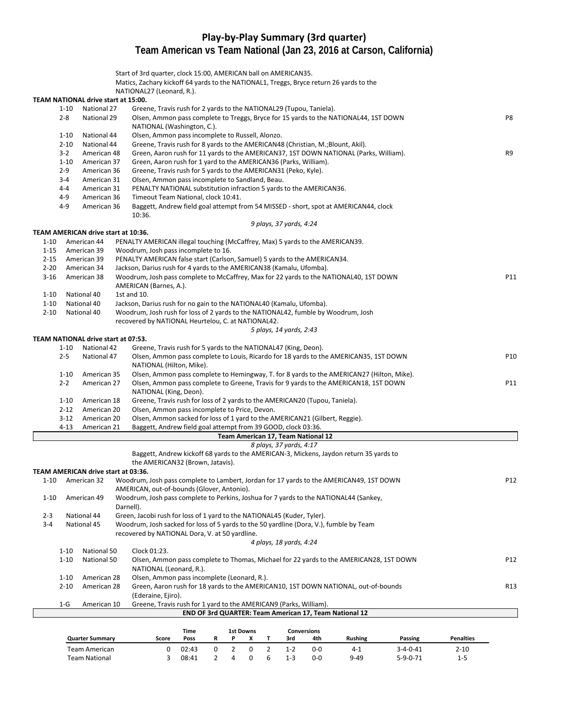### **Play‐by‐Play Summary (3rd quarter) Team American vs Team National (Jan 23, 2016 at Carson, California)**

|          |          |                                     | Start of 3rd quarter, clock 15:00, AMERICAN ball on AMERICAN35.<br>Matics, Zachary kickoff 64 yards to the NATIONAL1, Treggs, Bryce return 26 yards to the |     |
|----------|----------|-------------------------------------|------------------------------------------------------------------------------------------------------------------------------------------------------------|-----|
|          |          |                                     | NATIONAL27 (Leonard, R.).                                                                                                                                  |     |
|          |          | TEAM NATIONAL drive start at 15:00. |                                                                                                                                                            |     |
|          | 1-10     | National 27                         | Greene, Travis rush for 2 yards to the NATIONAL29 (Tupou, Taniela).                                                                                        |     |
|          | $2 - 8$  | National 29                         | Olsen, Ammon pass complete to Treggs, Bryce for 15 yards to the NATIONAL44, 1ST DOWN<br>NATIONAL (Washington, C.).                                         | P8  |
|          | $1 - 10$ | National 44                         | Olsen, Ammon pass incomplete to Russell, Alonzo.                                                                                                           |     |
|          | $2 - 10$ | National 44                         | Greene, Travis rush for 8 yards to the AMERICAN48 (Christian, M.; Blount, Akil).                                                                           |     |
|          | $3-2$    | American 48                         | Green, Aaron rush for 11 yards to the AMERICAN37, 1ST DOWN NATIONAL (Parks, William).                                                                      | R9  |
|          | $1 - 10$ | American 37                         | Green, Aaron rush for 1 yard to the AMERICAN36 (Parks, William).                                                                                           |     |
|          | $2-9$    | American 36                         | Greene, Travis rush for 5 yards to the AMERICAN31 (Peko, Kyle).                                                                                            |     |
|          | 3-4      | American 31                         | Olsen, Ammon pass incomplete to Sandland, Beau.                                                                                                            |     |
|          | 4-4      | American 31                         | PENALTY NATIONAL substitution infraction 5 yards to the AMERICAN36.                                                                                        |     |
|          | 4-9      | American 36                         | Timeout Team National, clock 10:41.                                                                                                                        |     |
|          | 4-9      | American 36                         | Baggett, Andrew field goal attempt from 54 MISSED - short, spot at AMERICAN44, clock<br>10:36.                                                             |     |
|          |          |                                     | 9 plays, 37 yards, 4:24                                                                                                                                    |     |
|          |          | TEAM AMERICAN drive start at 10:36. |                                                                                                                                                            |     |
| 1-10     |          | American 44                         | PENALTY AMERICAN illegal touching (McCaffrey, Max) 5 yards to the AMERICAN39.                                                                              |     |
| $1 - 15$ |          | American 39                         | Woodrum, Josh pass incomplete to 16.                                                                                                                       |     |
| $2 - 15$ |          | American 39                         | PENALTY AMERICAN false start (Carlson, Samuel) 5 yards to the AMERICAN34.                                                                                  |     |
| $2 - 20$ |          | American 34                         | Jackson, Darius rush for 4 yards to the AMERICAN38 (Kamalu, Ufomba).                                                                                       |     |
| $3-16$   |          | American 38                         | Woodrum, Josh pass complete to McCaffrey, Max for 22 yards to the NATIONAL40, 1ST DOWN                                                                     | P11 |
| 1-10     |          | National 40                         | AMERICAN (Barnes, A.).<br>1st and 10.                                                                                                                      |     |
| $1 - 10$ |          | National 40                         | Jackson, Darius rush for no gain to the NATIONAL40 (Kamalu, Ufomba).                                                                                       |     |
| $2 - 10$ |          | National 40                         | Woodrum, Josh rush for loss of 2 yards to the NATIONAL42, fumble by Woodrum, Josh                                                                          |     |
|          |          |                                     | recovered by NATIONAL Heurtelou, C. at NATIONAL42.                                                                                                         |     |
|          |          |                                     | 5 plays, 14 yards, 2:43                                                                                                                                    |     |
|          |          | TEAM NATIONAL drive start at 07:53. |                                                                                                                                                            |     |
|          | $1 - 10$ | National 42                         | Greene, Travis rush for 5 yards to the NATIONAL47 (King, Deon).                                                                                            |     |
|          | $2 - 5$  | National 47                         | Olsen, Ammon pass complete to Louis, Ricardo for 18 yards to the AMERICAN35, 1ST DOWN                                                                      | P10 |
|          |          |                                     | NATIONAL (Hilton, Mike).                                                                                                                                   |     |
|          | $1 - 10$ | American 35                         | Olsen, Ammon pass complete to Hemingway, T. for 8 yards to the AMERICAN27 (Hilton, Mike).                                                                  |     |
|          | $2 - 2$  | American 27                         | Olsen, Ammon pass complete to Greene, Travis for 9 yards to the AMERICAN18, 1ST DOWN<br>NATIONAL (King, Deon).                                             | P11 |
|          | $1 - 10$ | American 18                         | Greene, Travis rush for loss of 2 yards to the AMERICAN20 (Tupou, Taniela).                                                                                |     |
|          | $2 - 12$ | American 20                         | Olsen, Ammon pass incomplete to Price, Devon.                                                                                                              |     |
|          | $3-12$   | American 20                         | Olsen, Ammon sacked for loss of 1 yard to the AMERICAN21 (Gilbert, Reggie).                                                                                |     |
|          | $4 - 13$ | American 21                         | Baggett, Andrew field goal attempt from 39 GOOD, clock 03:36.                                                                                              |     |
|          |          |                                     | Team American 17, Team National 12                                                                                                                         |     |
|          |          |                                     | 8 plays, 37 yards, 4:17                                                                                                                                    |     |
|          |          |                                     | Baggett, Andrew kickoff 68 yards to the AMERICAN-3, Mickens, Jaydon return 35 yards to                                                                     |     |
|          |          |                                     | the AMERICAN32 (Brown, Jatavis).                                                                                                                           |     |
|          |          | TEAM AMERICAN drive start at 03:36. |                                                                                                                                                            |     |
| $1 - 10$ |          | American 32                         | Woodrum, Josh pass complete to Lambert, Jordan for 17 yards to the AMERICAN49, 1ST DOWN                                                                    | P12 |
|          |          |                                     | AMERICAN, out-of-bounds (Glover, Antonio).                                                                                                                 |     |
| $1 - 10$ |          | American 49                         | Woodrum, Josh pass complete to Perkins, Joshua for 7 yards to the NATIONAL44 (Sankey,                                                                      |     |
| $2 - 3$  |          | National 44                         | Darnell).<br>Green, Jacobi rush for loss of 1 yard to the NATIONAL45 (Kuder, Tyler).                                                                       |     |
| $3 - 4$  |          | National 45                         | Woodrum, Josh sacked for loss of 5 yards to the 50 yardline (Dora, V.), fumble by Team                                                                     |     |
|          |          |                                     | recovered by NATIONAL Dora, V. at 50 yardline.<br>4 plays, 18 yards, 4:24                                                                                  |     |
|          | $1 - 10$ | National 50                         | Clock 01:23.                                                                                                                                               |     |
|          | $1 - 10$ | National 50                         | Olsen, Ammon pass complete to Thomas, Michael for 22 yards to the AMERICAN28, 1ST DOWN                                                                     | P12 |
|          |          |                                     | NATIONAL (Leonard, R.).                                                                                                                                    |     |
|          | $1 - 10$ | American 28                         | Olsen, Ammon pass incomplete (Leonard, R.).                                                                                                                |     |
|          | $2 - 10$ | American 28                         | Green, Aaron rush for 18 yards to the AMERICAN10, 1ST DOWN NATIONAL, out-of-bounds                                                                         | R13 |
|          |          |                                     | (Ederaine, Ejiro).                                                                                                                                         |     |
|          | $1-G$    | American 10                         | Greene, Travis rush for 1 yard to the AMERICAN9 (Parks, William).                                                                                          |     |
|          |          |                                     | END OF 3rd QUARTER: Team American 17, Team National 12                                                                                                     |     |
|          |          |                                     |                                                                                                                                                            |     |
|          |          |                                     | Time<br><b>1st Downs</b><br><b>Conversions</b>                                                                                                             |     |

**Quarter Summary Score Poss R P X T 3rd 4th Rushing Passing Penalties** Team American 0 02:43 0202 1‐2 0‐0 4‐1 3‐4‐0‐41 2‐10 Team National 3 08:41 2 4 0 6 1-3 0-0 9-49 5-9-0-71 1-5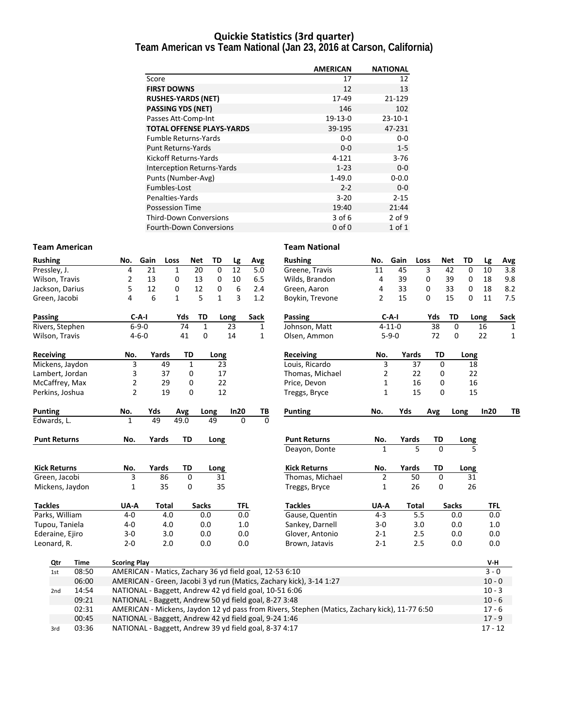### **Quickie Statistics (3rd quarter)**

**Team American vs Team National (Jan 23, 2016 at Carson, California)**

|                                   | <b>AMERICAN</b> | <b>NATIONAL</b> |
|-----------------------------------|-----------------|-----------------|
| Score                             | 17              | 12              |
| <b>FIRST DOWNS</b>                | 12              | 13              |
| <b>RUSHES-YARDS (NET)</b>         | 17-49           | 21-129          |
| <b>PASSING YDS (NET)</b>          | 146             | 102             |
| Passes Att-Comp-Int               | $19-13-0$       | $23 - 10 - 1$   |
| <b>TOTAL OFFENSE PLAYS-YARDS</b>  | 39-195          | 47-231          |
| <b>Fumble Returns-Yards</b>       | $0-0$           | $0 - 0$         |
| <b>Punt Returns-Yards</b>         | $0 - 0$         | $1-5$           |
| Kickoff Returns-Yards             | $4 - 121$       | $3 - 76$        |
| <b>Interception Returns-Yards</b> | $1 - 23$        | $0-0$           |
| Punts (Number-Avg)                | $1 - 49.0$      | $0 - 0.0$       |
| Fumbles-Lost                      | $2 - 2$         | $0-0$           |
| Penalties-Yards                   | $3 - 20$        | $2 - 15$        |
| <b>Possession Time</b>            | 19:40           | 21:44           |
| <b>Third-Down Conversions</b>     | 3 of 6          | 2 of 9          |
| <b>Fourth-Down Conversions</b>    | $0$ of $0$      | $1$ of $1$      |

#### **Team American Team National**

| <b>Rushing</b>      |       | No.                                                     | Gain                                                   | Loss         | <b>Net</b>   | TD           | Lg         | Avg          |          | <b>Rushing</b>                                                                                | No.            | Gain         | Loss         | <b>Net</b>   | TD           | Lg        | <b>Avg</b>   |
|---------------------|-------|---------------------------------------------------------|--------------------------------------------------------|--------------|--------------|--------------|------------|--------------|----------|-----------------------------------------------------------------------------------------------|----------------|--------------|--------------|--------------|--------------|-----------|--------------|
| Pressley, J.        |       | 4                                                       | 21                                                     | 1            | 20           | $\mathbf 0$  | 12         | 5.0          |          | Greene, Travis                                                                                | 11             | 45           | 3            | 42           | $\mathbf 0$  | 10        | 3.8          |
| Wilson, Travis      |       | $\overline{2}$                                          | 13                                                     | 0            | 13           | 0            | 10         | 6.5          |          | Wilds, Brandon                                                                                | 4              | 39           | 0            | 39           | 0            | 18        | 9.8          |
| Jackson, Darius     |       | 5                                                       | 12                                                     | $\mathbf 0$  | 12           | 0            | 6          | 2.4          |          | Green, Aaron                                                                                  | 4              | 33           | 0            | 33           | 0            | 18        | 8.2          |
| Green, Jacobi       |       | 4                                                       | 6                                                      | $\mathbf{1}$ | 5            | $\mathbf{1}$ | 3          | 1.2          |          | Boykin, Trevone                                                                               | $\overline{2}$ | 15           | $\mathbf 0$  | 15           | 0            | 11        | 7.5          |
| <b>Passing</b>      |       |                                                         | $C-A-I$                                                |              | Yds<br>TD    |              | Long       | <b>Sack</b>  |          | <b>Passing</b>                                                                                |                | $C-A-I$      |              | Yds          | <b>TD</b>    | Long      | Sack         |
| Rivers, Stephen     |       |                                                         | $6 - 9 - 0$                                            |              | 74           | $\mathbf{1}$ | 23         | $\mathbf{1}$ |          | Johnson, Matt                                                                                 |                | $4 - 11 - 0$ |              | 38           | $\Omega$     | 16        | 1            |
| Wilson, Travis      |       |                                                         | $4 - 6 - 0$                                            |              | 41           | 0            | 14         | 1            |          | Olsen, Ammon                                                                                  |                | $5 - 9 - 0$  |              | 72           | $\mathbf{0}$ | 22        | $\mathbf{1}$ |
| Receiving           |       | No.                                                     | Yards                                                  |              | TD           | Long         |            |              |          | <b>Receiving</b>                                                                              | No.            | Yards        |              | TD           | Long         |           |              |
| Mickens, Jaydon     |       | 3                                                       |                                                        | 49           | $\mathbf{1}$ | 23           |            |              |          | Louis, Ricardo                                                                                | 3              |              | 37           | $\mathbf 0$  | 18           |           |              |
| Lambert, Jordan     |       | 3                                                       |                                                        | 37           | 0            | 17           |            |              |          | Thomas, Michael                                                                               | $\overline{2}$ |              | 22           | 0            | 22           |           |              |
| McCaffrey, Max      |       | 2                                                       |                                                        | 29           | 0            | 22           |            |              |          | Price, Devon                                                                                  | 1              |              | 16           | $\mathbf 0$  | 16           |           |              |
| Perkins, Joshua     |       | $\overline{2}$                                          |                                                        | 19           | 0            | 12           |            |              |          | Treggs, Bryce                                                                                 | 1              |              | 15           | $\mathbf 0$  | 15           |           |              |
| <b>Punting</b>      |       | No.                                                     | Yds                                                    | Avg          |              | Long         | In20       |              | TB       | <b>Punting</b>                                                                                | No.            | Yds          |              | Avg          | Long         | In20      | TB           |
| Edwards, L.         |       | $\mathbf{1}$                                            | 49                                                     | 49.0         |              | 49           | $\Omega$   |              | $\Omega$ |                                                                                               |                |              |              |              |              |           |              |
| <b>Punt Returns</b> |       | No.                                                     | Yards                                                  |              | <b>TD</b>    | Long         |            |              |          | <b>Punt Returns</b>                                                                           | No.            | Yards        |              | <b>TD</b>    | Long         |           |              |
|                     |       |                                                         |                                                        |              |              |              |            |              |          | Deayon, Donte                                                                                 | $\mathbf{1}$   |              | 5            | $\Omega$     | 5.           |           |              |
| <b>Kick Returns</b> |       | No.                                                     | Yards                                                  |              | TD           | Long         |            |              |          | <b>Kick Returns</b>                                                                           | No.            | Yards        |              | <b>TD</b>    | Long         |           |              |
| Green, Jacobi       |       | 3                                                       |                                                        | 86           | $\mathbf 0$  | 31           |            |              |          | Thomas, Michael                                                                               | $\overline{2}$ |              | 50           | $\mathbf 0$  | 31           |           |              |
| Mickens, Jaydon     |       | $\mathbf{1}$                                            |                                                        | 35           | $\mathbf 0$  | 35           |            |              |          | Treggs, Bryce                                                                                 | $\mathbf{1}$   |              | 26           | 0            | 26           |           |              |
| <b>Tackles</b>      |       | UA-A                                                    |                                                        | <b>Total</b> | <b>Sacks</b> |              | <b>TFL</b> |              |          | <b>Tackles</b>                                                                                | UA-A           |              | <b>Total</b> | <b>Sacks</b> |              | TFL       |              |
| Parks, William      |       | $4 - 0$                                                 |                                                        | 4.0          |              | 0.0          | 0.0        |              |          | Gause, Quentin                                                                                | $4 - 3$        |              | 5.5          |              | 0.0          | 0.0       |              |
| Tupou, Taniela      |       | $4 - 0$                                                 |                                                        | 4.0          |              | 0.0          | 1.0        |              |          | Sankey, Darnell                                                                               | $3-0$          |              | 3.0          |              | 0.0          | 1.0       |              |
| Ederaine, Ejiro     |       | $3 - 0$                                                 |                                                        | 3.0          |              | 0.0          | 0.0        |              |          | Glover, Antonio                                                                               | $2 - 1$        |              | 2.5          |              | 0.0          | 0.0       |              |
| Leonard, R.         |       | $2 - 0$                                                 |                                                        | 2.0          |              | 0.0          | 0.0        |              |          | Brown, Jatavis                                                                                | $2 - 1$        |              | 2.5          |              | 0.0          | 0.0       |              |
| Qtr                 | Time  | <b>Scoring Play</b>                                     |                                                        |              |              |              |            |              |          |                                                                                               |                |              |              |              |              | V-H       |              |
| 1st                 | 08:50 | AMERICAN - Matics, Zachary 36 yd field goal, 12-53 6:10 |                                                        |              |              |              |            |              |          |                                                                                               |                |              |              |              |              | $3 - 0$   |              |
|                     | 06:00 |                                                         |                                                        |              |              |              |            |              |          | AMERICAN - Green, Jacobi 3 yd run (Matics, Zachary kick), 3-14 1:27                           |                |              |              |              |              | $10 - 0$  |              |
| 2nd                 | 14:54 | NATIONAL - Baggett, Andrew 42 yd field goal, 10-51 6:06 |                                                        |              |              |              |            |              |          |                                                                                               |                |              |              |              |              | $10 - 3$  |              |
|                     | 09:21 |                                                         | NATIONAL - Baggett, Andrew 50 yd field goal, 8-27 3:48 |              |              |              |            |              |          |                                                                                               |                |              |              |              |              | $10 - 6$  |              |
|                     | 02:31 |                                                         |                                                        |              |              |              |            |              |          | AMERICAN - Mickens, Jaydon 12 yd pass from Rivers, Stephen (Matics, Zachary kick), 11-77 6:50 |                |              |              |              |              | $17 - 6$  |              |
|                     | 00:45 |                                                         | NATIONAL - Baggett, Andrew 42 yd field goal, 9-24 1:46 |              |              |              |            |              |          |                                                                                               |                |              |              |              |              | $17 - 9$  |              |
| 3rd                 | 03:36 |                                                         | NATIONAL - Baggett, Andrew 39 yd field goal, 8-37 4:17 |              |              |              |            |              |          |                                                                                               |                |              |              |              |              | $17 - 12$ |              |

3rd 03:36 NATIONAL - Baggett, Andrew 39 yd field goal, 8-37 4:17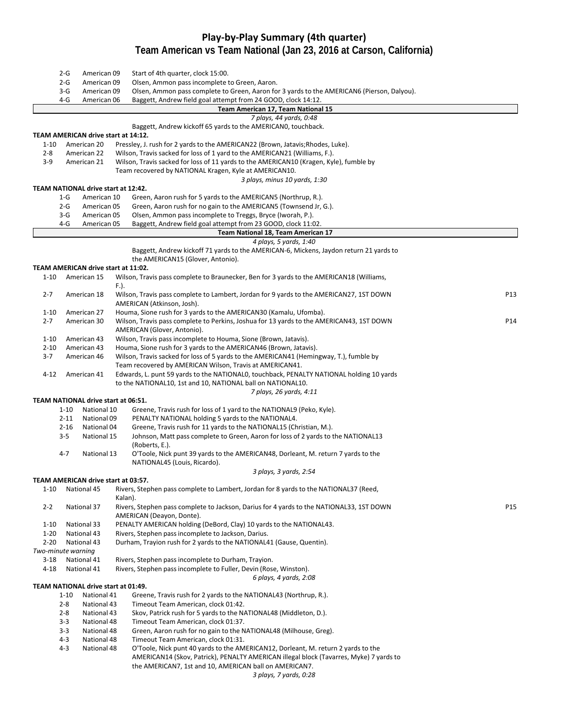### **Play‐by‐Play Summary (4th quarter) Team American vs Team National (Jan 23, 2016 at Carson, California)**

|                    | $2-G$    | American 09                         | Start of 4th quarter, clock 15:00.                                                         |     |
|--------------------|----------|-------------------------------------|--------------------------------------------------------------------------------------------|-----|
|                    | 2-G      | American 09                         | Olsen, Ammon pass incomplete to Green, Aaron.                                              |     |
|                    | $3-G$    | American 09                         | Olsen, Ammon pass complete to Green, Aaron for 3 yards to the AMERICAN6 (Pierson, Dalyou). |     |
|                    | $4-G$    | American 06                         | Baggett, Andrew field goal attempt from 24 GOOD, clock 14:12.                              |     |
|                    |          |                                     | Team American 17, Team National 15                                                         |     |
|                    |          |                                     | 7 plays, 44 yards, 0:48                                                                    |     |
|                    |          |                                     | Baggett, Andrew kickoff 65 yards to the AMERICANO, touchback.                              |     |
|                    |          | TEAM AMERICAN drive start at 14:12. |                                                                                            |     |
| $1 - 10$           |          | American 20                         | Pressley, J. rush for 2 yards to the AMERICAN22 (Brown, Jatavis; Rhodes, Luke).            |     |
| $2 - 8$            |          | American 22                         | Wilson, Travis sacked for loss of 1 yard to the AMERICAN21 (Williams, F.).                 |     |
| $3-9$              |          | American 21                         | Wilson, Travis sacked for loss of 11 yards to the AMERICAN10 (Kragen, Kyle), fumble by     |     |
|                    |          |                                     | Team recovered by NATIONAL Kragen, Kyle at AMERICAN10.                                     |     |
|                    |          |                                     | 3 plays, minus 10 yards, 1:30                                                              |     |
|                    |          | TEAM NATIONAL drive start at 12:42. |                                                                                            |     |
|                    | $1-G$    | American 10                         | Green, Aaron rush for 5 yards to the AMERICAN5 (Northrup, R.).                             |     |
|                    | $2-G$    | American 05                         | Green, Aaron rush for no gain to the AMERICAN5 (Townsend Jr, G.).                          |     |
|                    | $3-G$    | American 05                         | Olsen, Ammon pass incomplete to Treggs, Bryce (Iworah, P.).                                |     |
|                    | 4-G      | American 05                         | Baggett, Andrew field goal attempt from 23 GOOD, clock 11:02.                              |     |
|                    |          |                                     | Team National 18, Team American 17                                                         |     |
|                    |          |                                     | 4 plays, 5 yards, 1:40                                                                     |     |
|                    |          |                                     | Baggett, Andrew kickoff 71 yards to the AMERICAN-6, Mickens, Jaydon return 21 yards to     |     |
|                    |          |                                     | the AMERICAN15 (Glover, Antonio).                                                          |     |
|                    |          | TEAM AMERICAN drive start at 11:02. |                                                                                            |     |
| $1 - 10$           |          | American 15                         | Wilson, Travis pass complete to Braunecker, Ben for 3 yards to the AMERICAN18 (Williams,   |     |
|                    |          |                                     | F.).                                                                                       |     |
| $2 - 7$            |          | American 18                         | Wilson, Travis pass complete to Lambert, Jordan for 9 yards to the AMERICAN27, 1ST DOWN    | P13 |
|                    |          |                                     | AMERICAN (Atkinson, Josh).                                                                 |     |
| $1 - 10$           |          | American 27                         | Houma, Sione rush for 3 yards to the AMERICAN30 (Kamalu, Ufomba).                          |     |
| $2 - 7$            |          | American 30                         | Wilson, Travis pass complete to Perkins, Joshua for 13 yards to the AMERICAN43, 1ST DOWN   | P14 |
|                    |          |                                     | AMERICAN (Glover, Antonio).                                                                |     |
| $1 - 10$           |          | American 43                         | Wilson, Travis pass incomplete to Houma, Sione (Brown, Jatavis).                           |     |
| $2 - 10$           |          | American 43                         | Houma, Sione rush for 3 yards to the AMERICAN46 (Brown, Jatavis).                          |     |
| 3-7                |          | American 46                         | Wilson, Travis sacked for loss of 5 yards to the AMERICAN41 (Hemingway, T.), fumble by     |     |
|                    |          |                                     | Team recovered by AMERICAN Wilson, Travis at AMERICAN41.                                   |     |
| 4-12               |          | American 41                         | Edwards, L. punt 59 yards to the NATIONALO, touchback, PENALTY NATIONAL holding 10 yards   |     |
|                    |          |                                     | to the NATIONAL10, 1st and 10, NATIONAL ball on NATIONAL10.                                |     |
|                    |          |                                     | 7 plays, 26 yards, 4:11                                                                    |     |
|                    |          | TEAM NATIONAL drive start at 06:51. |                                                                                            |     |
|                    | $1 - 10$ | National 10                         | Greene, Travis rush for loss of 1 yard to the NATIONAL9 (Peko, Kyle).                      |     |
|                    | $2 - 11$ | National 09                         | PENALTY NATIONAL holding 5 yards to the NATIONAL4.                                         |     |
|                    | $2 - 16$ | National 04                         | Greene, Travis rush for 11 yards to the NATIONAL15 (Christian, M.).                        |     |
|                    | $3 - 5$  | National 15                         | Johnson, Matt pass complete to Green, Aaron for loss of 2 yards to the NATIONAL13          |     |
|                    |          |                                     | (Roberts, E.).                                                                             |     |
|                    | 4-7      | National 13                         | O'Toole, Nick punt 39 yards to the AMERICAN48, Dorleant, M. return 7 yards to the          |     |
|                    |          |                                     | NATIONAL45 (Louis, Ricardo).                                                               |     |
|                    |          |                                     | 3 plays, 3 yards, 2:54                                                                     |     |
|                    |          | TEAM AMERICAN drive start at 03:57. |                                                                                            |     |
| 1-10               |          | National 45                         | Rivers, Stephen pass complete to Lambert, Jordan for 8 yards to the NATIONAL37 (Reed,      |     |
|                    |          |                                     | Kalan).                                                                                    |     |
| $2 - 2$            |          | National 37                         | Rivers, Stephen pass complete to Jackson, Darius for 4 yards to the NATIONAL33, 1ST DOWN   | P15 |
|                    |          |                                     | AMERICAN (Deayon, Donte).                                                                  |     |
| $1 - 10$           |          | National 33                         | PENALTY AMERICAN holding (DeBord, Clay) 10 yards to the NATIONAL43.                        |     |
| $1 - 20$           |          | National 43                         | Rivers, Stephen pass incomplete to Jackson, Darius.                                        |     |
| $2 - 20$           |          | National 43                         | Durham, Trayion rush for 2 yards to the NATIONAL41 (Gause, Quentin).                       |     |
| Two-minute warning |          |                                     |                                                                                            |     |
| $3-18$             |          | National 41                         | Rivers, Stephen pass incomplete to Durham, Trayion.                                        |     |
| $4 - 18$           |          | National 41                         | Rivers, Stephen pass incomplete to Fuller, Devin (Rose, Winston).                          |     |
|                    |          |                                     | 6 plays, 4 yards, 2:08                                                                     |     |
|                    |          | TEAM NATIONAL drive start at 01:49. |                                                                                            |     |
|                    | $1 - 10$ | National 41                         | Greene, Travis rush for 2 yards to the NATIONAL43 (Northrup, R.).                          |     |
|                    | $2 - 8$  | National 43                         | Timeout Team American, clock 01:42.                                                        |     |
|                    | $2 - 8$  | National 43                         | Skov, Patrick rush for 5 yards to the NATIONAL48 (Middleton, D.).                          |     |
|                    | $3 - 3$  | National 48                         | Timeout Team American, clock 01:37.                                                        |     |
|                    | $3 - 3$  | National 48                         | Green, Aaron rush for no gain to the NATIONAL48 (Milhouse, Greg).                          |     |
|                    | 4-3      | National 48                         | Timeout Team American, clock 01:31.                                                        |     |
|                    | $4 - 3$  | National 48                         | O'Toole, Nick punt 40 yards to the AMERICAN12, Dorleant, M. return 2 yards to the          |     |
|                    |          |                                     | AMERICAN14 (Skov, Patrick), PENALTY AMERICAN illegal block (Tavarres, Myke) 7 yards to     |     |
|                    |          |                                     | the AMERICAN7, 1st and 10, AMERICAN ball on AMERICAN7.                                     |     |
|                    |          |                                     | 3 plays, 7 yards, 0:28                                                                     |     |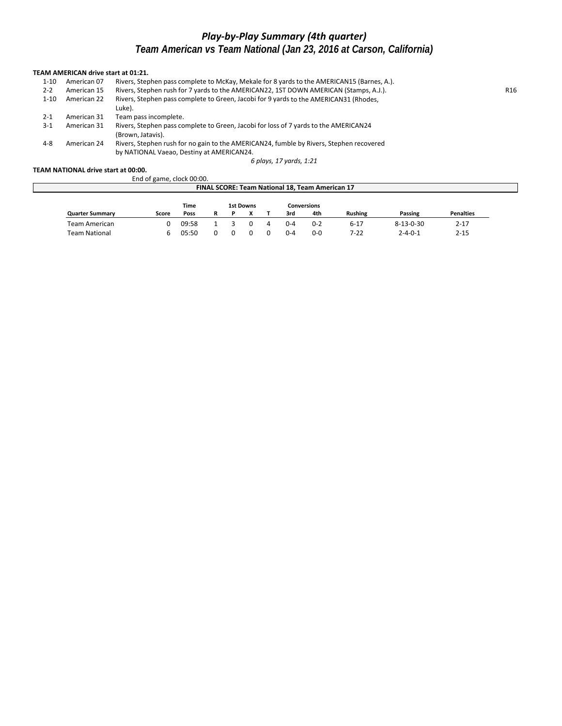# *Play‐by‐Play Summary (4th quarter) Team American vs Team National (Jan 23, 2016 at Carson, California)*

#### **TEAM AMERICAN drive start at 01:21.**

| 1-10     | American 07 | Rivers, Stephen pass complete to McKay, Mekale for 8 yards to the AMERICAN15 (Barnes, A.).                                           |                 |
|----------|-------------|--------------------------------------------------------------------------------------------------------------------------------------|-----------------|
| $2 - 2$  | American 15 | Rivers, Stephen rush for 7 yards to the AMERICAN22, 1ST DOWN AMERICAN (Stamps, A.J.).                                                | R <sub>16</sub> |
| $1 - 10$ | American 22 | Rivers, Stephen pass complete to Green, Jacobi for 9 yards to the AMERICAN31 (Rhodes,<br>Luke).                                      |                 |
| $2 - 1$  | American 31 | Team pass incomplete.                                                                                                                |                 |
| 3-1      | American 31 | Rivers, Stephen pass complete to Green, Jacobi for loss of 7 yards to the AMERICAN24<br>(Brown. Jatavis).                            |                 |
| 4-8      | American 24 | Rivers, Stephen rush for no gain to the AMERICAN24, fumble by Rivers, Stephen recovered<br>by NATIONAL Vaeao, Destiny at AMERICAN24. |                 |

*6 plays, 17 yards, 1:21*

#### **TEAM NATIONAL drive start at 00:00.**

|                                                 | End of game, clock 00:00. |       |   |  |                          |  |         |         |                |                   |                  |  |
|-------------------------------------------------|---------------------------|-------|---|--|--------------------------|--|---------|---------|----------------|-------------------|------------------|--|
| FINAL SCORE: Team National 18, Team American 17 |                           |       |   |  |                          |  |         |         |                |                   |                  |  |
| Time<br><b>1st Downs</b><br><b>Conversions</b>  |                           |       |   |  |                          |  |         |         |                |                   |                  |  |
| <b>Quarter Summary</b>                          | Score                     | Poss  | R |  | $\overline{\phantom{a}}$ |  | 3rd     | 4th     | <b>Rushing</b> | Passing           | <b>Penalties</b> |  |
| Team American                                   |                           | 09:58 |   |  |                          |  | $0 - 4$ | $0 - 2$ | $6 - 17$       | $8 - 13 - 0 - 30$ | $2 - 17$         |  |
| Team National                                   |                           | 05:50 |   |  |                          |  | $0 - 4$ | $0 - 0$ | 7-22           | $2 - 4 - 0 - 1$   | $2 - 15$         |  |